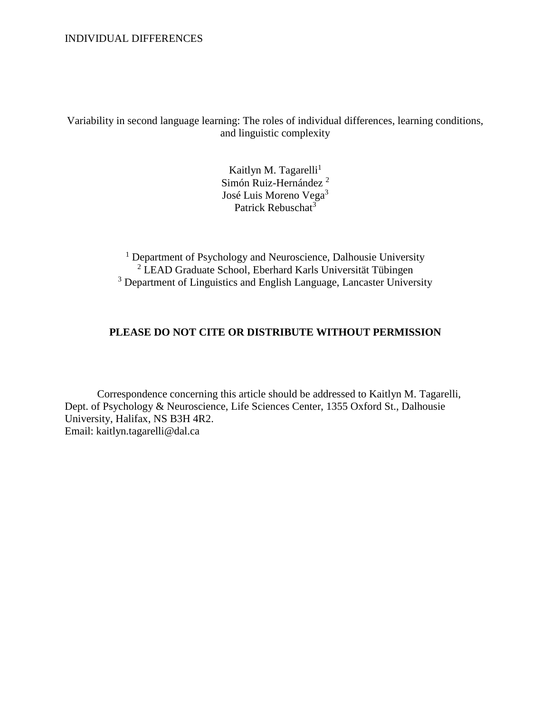Variability in second language learning: The roles of individual differences, learning conditions, and linguistic complexity

> Kaitlyn M. Tagarelli<sup>1</sup> Simón Ruiz-Hernández<sup>2</sup> José Luis Moreno Vega<sup>3</sup> Patrick Rebuschat<sup>3</sup>

<sup>1</sup> Department of Psychology and Neuroscience, Dalhousie University <sup>2</sup> LEAD Graduate School, Eberhard Karls Universität Tübingen <sup>3</sup> Department of Linguistics and English Language, Lancaster University

## **PLEASE DO NOT CITE OR DISTRIBUTE WITHOUT PERMISSION**

Correspondence concerning this article should be addressed to Kaitlyn M. Tagarelli, Dept. of Psychology & Neuroscience, Life Sciences Center, 1355 Oxford St., Dalhousie University, Halifax, NS B3H 4R2. Email: kaitlyn.tagarelli@dal.ca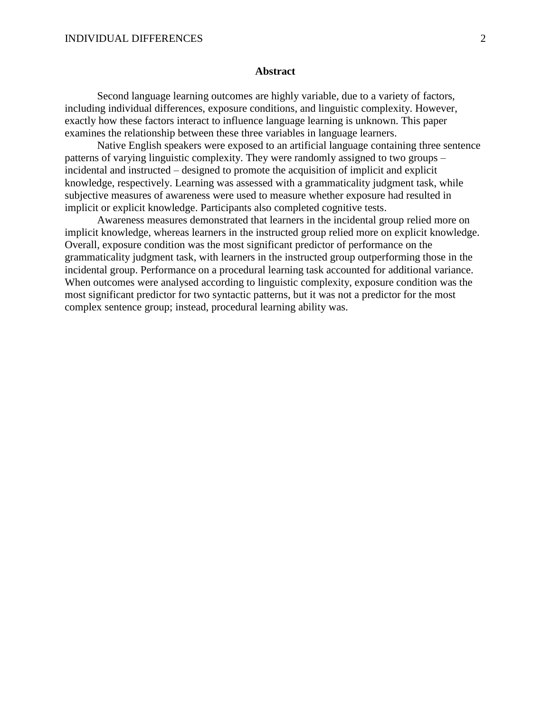### **Abstract**

Second language learning outcomes are highly variable, due to a variety of factors, including individual differences, exposure conditions, and linguistic complexity. However, exactly how these factors interact to influence language learning is unknown. This paper examines the relationship between these three variables in language learners.

Native English speakers were exposed to an artificial language containing three sentence patterns of varying linguistic complexity. They were randomly assigned to two groups – incidental and instructed – designed to promote the acquisition of implicit and explicit knowledge, respectively. Learning was assessed with a grammaticality judgment task, while subjective measures of awareness were used to measure whether exposure had resulted in implicit or explicit knowledge. Participants also completed cognitive tests.

Awareness measures demonstrated that learners in the incidental group relied more on implicit knowledge, whereas learners in the instructed group relied more on explicit knowledge. Overall, exposure condition was the most significant predictor of performance on the grammaticality judgment task, with learners in the instructed group outperforming those in the incidental group. Performance on a procedural learning task accounted for additional variance. When outcomes were analysed according to linguistic complexity, exposure condition was the most significant predictor for two syntactic patterns, but it was not a predictor for the most complex sentence group; instead, procedural learning ability was.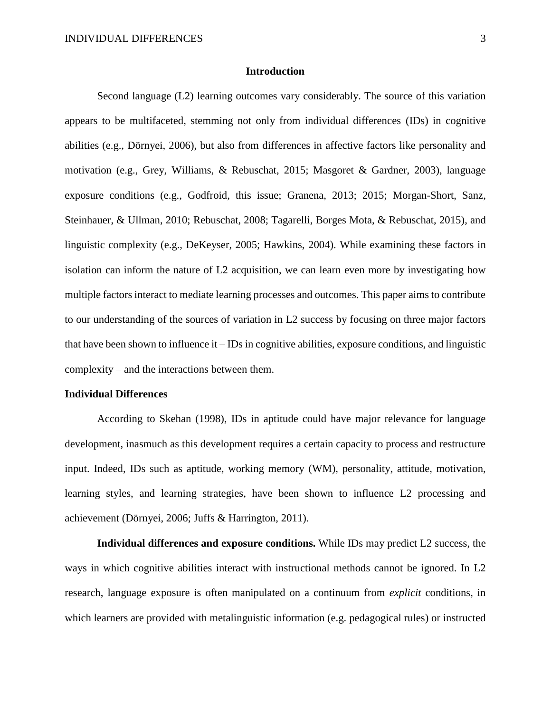#### **Introduction**

Second language (L2) learning outcomes vary considerably. The source of this variation appears to be multifaceted, stemming not only from individual differences (IDs) in cognitive abilities (e.g., Dörnyei, 2006), but also from differences in affective factors like personality and motivation (e.g., Grey, Williams, & Rebuschat, 2015; Masgoret & Gardner, 2003), language exposure conditions (e.g., Godfroid, this issue; Granena, 2013; 2015; Morgan-Short, Sanz, Steinhauer, & Ullman, 2010; Rebuschat, 2008; Tagarelli, Borges Mota, & Rebuschat, 2015), and linguistic complexity (e.g., DeKeyser, 2005; Hawkins, 2004). While examining these factors in isolation can inform the nature of L2 acquisition, we can learn even more by investigating how multiple factors interact to mediate learning processes and outcomes. This paper aims to contribute to our understanding of the sources of variation in L2 success by focusing on three major factors that have been shown to influence it – IDs in cognitive abilities, exposure conditions, and linguistic complexity – and the interactions between them.

#### **Individual Differences**

According to Skehan (1998), IDs in aptitude could have major relevance for language development, inasmuch as this development requires a certain capacity to process and restructure input. Indeed, IDs such as aptitude, working memory (WM), personality, attitude, motivation, learning styles, and learning strategies, have been shown to influence L2 processing and achievement (Dörnyei, 2006; Juffs & Harrington, 2011).

**Individual differences and exposure conditions.** While IDs may predict L2 success, the ways in which cognitive abilities interact with instructional methods cannot be ignored. In L2 research, language exposure is often manipulated on a continuum from *explicit* conditions, in which learners are provided with metalinguistic information (e.g. pedagogical rules) or instructed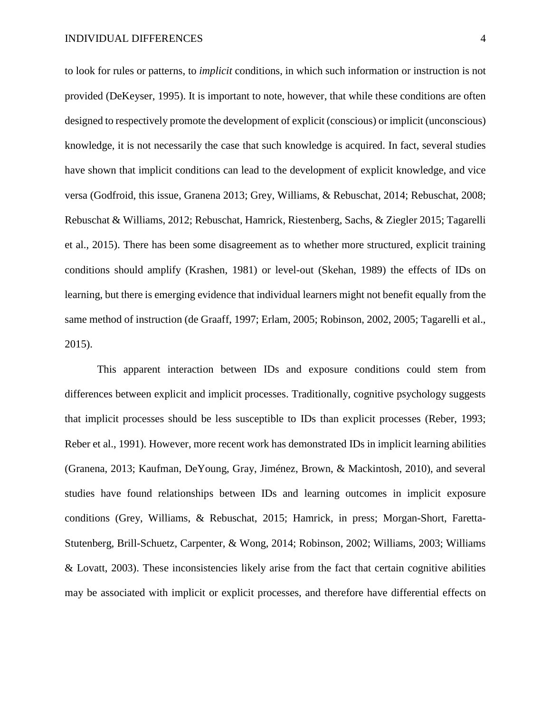to look for rules or patterns, to *implicit* conditions, in which such information or instruction is not provided (DeKeyser, 1995). It is important to note, however, that while these conditions are often designed to respectively promote the development of explicit (conscious) or implicit (unconscious) knowledge, it is not necessarily the case that such knowledge is acquired. In fact, several studies have shown that implicit conditions can lead to the development of explicit knowledge, and vice versa (Godfroid, this issue, Granena 2013; Grey, Williams, & Rebuschat, 2014; Rebuschat, 2008; Rebuschat & Williams, 2012; Rebuschat, Hamrick, Riestenberg, Sachs, & Ziegler 2015; Tagarelli et al., 2015). There has been some disagreement as to whether more structured, explicit training conditions should amplify (Krashen, 1981) or level-out (Skehan, 1989) the effects of IDs on learning, but there is emerging evidence that individual learners might not benefit equally from the same method of instruction (de Graaff, 1997; Erlam, 2005; Robinson, 2002, 2005; Tagarelli et al., 2015).

This apparent interaction between IDs and exposure conditions could stem from differences between explicit and implicit processes. Traditionally, cognitive psychology suggests that implicit processes should be less susceptible to IDs than explicit processes (Reber, 1993; Reber et al., 1991). However, more recent work has demonstrated IDs in implicit learning abilities (Granena, 2013; Kaufman, DeYoung, Gray, Jiménez, Brown, & Mackintosh, 2010), and several studies have found relationships between IDs and learning outcomes in implicit exposure conditions (Grey, Williams, & Rebuschat, 2015; Hamrick, in press; Morgan-Short, Faretta-Stutenberg, Brill-Schuetz, Carpenter, & Wong, 2014; Robinson, 2002; Williams, 2003; Williams & Lovatt, 2003). These inconsistencies likely arise from the fact that certain cognitive abilities may be associated with implicit or explicit processes, and therefore have differential effects on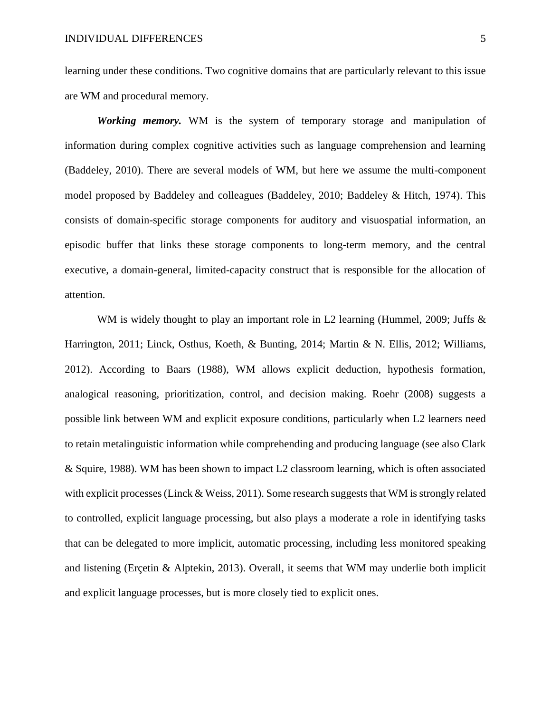learning under these conditions. Two cognitive domains that are particularly relevant to this issue are WM and procedural memory.

*Working memory.* WM is the system of temporary storage and manipulation of information during complex cognitive activities such as language comprehension and learning (Baddeley, 2010). There are several models of WM, but here we assume the multi-component model proposed by Baddeley and colleagues (Baddeley, 2010; Baddeley & Hitch, 1974). This consists of domain-specific storage components for auditory and visuospatial information, an episodic buffer that links these storage components to long-term memory, and the central executive, a domain-general, limited-capacity construct that is responsible for the allocation of attention.

WM is widely thought to play an important role in L2 learning (Hummel, 2009; Juffs & Harrington, 2011; Linck, Osthus, Koeth, & Bunting, 2014; Martin & N. Ellis, 2012; Williams, 2012). According to Baars (1988), WM allows explicit deduction, hypothesis formation, analogical reasoning, prioritization, control, and decision making. Roehr (2008) suggests a possible link between WM and explicit exposure conditions, particularly when L2 learners need to retain metalinguistic information while comprehending and producing language (see also Clark & Squire, 1988). WM has been shown to impact L2 classroom learning, which is often associated with explicit processes (Linck & Weiss, 2011). Some research suggests that WM is strongly related to controlled, explicit language processing, but also plays a moderate a role in identifying tasks that can be delegated to more implicit, automatic processing, including less monitored speaking and listening (Erçetin & Alptekin, 2013). Overall, it seems that WM may underlie both implicit and explicit language processes, but is more closely tied to explicit ones.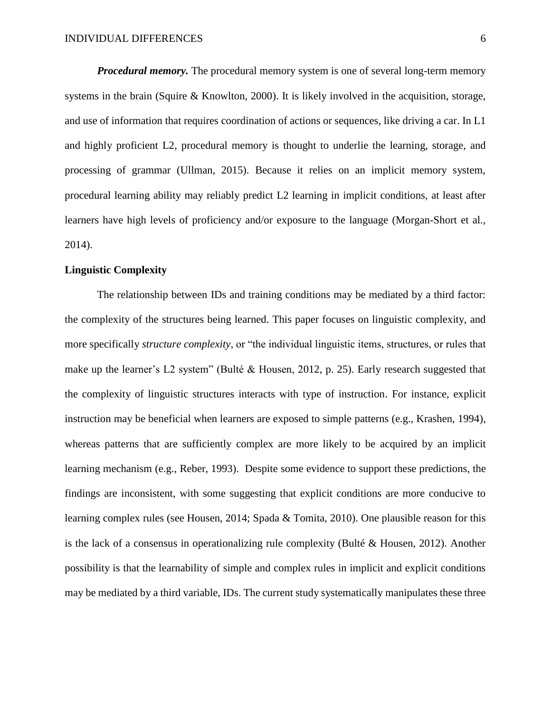*Procedural memory.* The procedural memory system is one of several long-term memory systems in the brain (Squire & Knowlton, 2000). It is likely involved in the acquisition, storage, and use of information that requires coordination of actions or sequences, like driving a car. In L1 and highly proficient L2, procedural memory is thought to underlie the learning, storage, and processing of grammar (Ullman, 2015). Because it relies on an implicit memory system, procedural learning ability may reliably predict L2 learning in implicit conditions, at least after learners have high levels of proficiency and/or exposure to the language (Morgan-Short et al., 2014).

### **Linguistic Complexity**

The relationship between IDs and training conditions may be mediated by a third factor: the complexity of the structures being learned. This paper focuses on linguistic complexity, and more specifically *structure complexity*, or "the individual linguistic items, structures, or rules that make up the learner's L2 system" (Bulté & Housen, 2012, p. 25). Early research suggested that the complexity of linguistic structures interacts with type of instruction. For instance, explicit instruction may be beneficial when learners are exposed to simple patterns (e.g., Krashen, 1994), whereas patterns that are sufficiently complex are more likely to be acquired by an implicit learning mechanism (e.g., Reber, 1993). Despite some evidence to support these predictions, the findings are inconsistent, with some suggesting that explicit conditions are more conducive to learning complex rules (see Housen, 2014; Spada & Tomita, 2010). One plausible reason for this is the lack of a consensus in operationalizing rule complexity (Bulté & Housen, 2012). Another possibility is that the learnability of simple and complex rules in implicit and explicit conditions may be mediated by a third variable, IDs. The current study systematically manipulates these three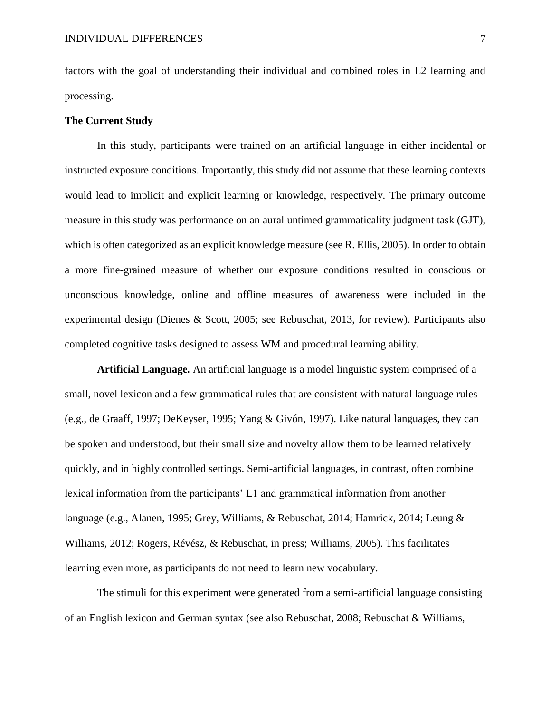factors with the goal of understanding their individual and combined roles in L2 learning and processing.

#### **The Current Study**

In this study, participants were trained on an artificial language in either incidental or instructed exposure conditions. Importantly, this study did not assume that these learning contexts would lead to implicit and explicit learning or knowledge, respectively. The primary outcome measure in this study was performance on an aural untimed grammaticality judgment task (GJT), which is often categorized as an explicit knowledge measure (see R. Ellis, 2005). In order to obtain a more fine-grained measure of whether our exposure conditions resulted in conscious or unconscious knowledge, online and offline measures of awareness were included in the experimental design (Dienes & Scott, 2005; see Rebuschat, 2013, for review). Participants also completed cognitive tasks designed to assess WM and procedural learning ability.

**Artificial Language***.* An artificial language is a model linguistic system comprised of a small, novel lexicon and a few grammatical rules that are consistent with natural language rules (e.g., de Graaff, 1997; DeKeyser, 1995; Yang & Givón, 1997). Like natural languages, they can be spoken and understood, but their small size and novelty allow them to be learned relatively quickly, and in highly controlled settings. Semi-artificial languages, in contrast, often combine lexical information from the participants' L1 and grammatical information from another language (e.g., Alanen, 1995; Grey, Williams, & Rebuschat, 2014; Hamrick, 2014; Leung & Williams, 2012; Rogers, Révész, & Rebuschat, in press; Williams, 2005). This facilitates learning even more, as participants do not need to learn new vocabulary.

The stimuli for this experiment were generated from a semi-artificial language consisting of an English lexicon and German syntax (see also Rebuschat, 2008; Rebuschat & Williams,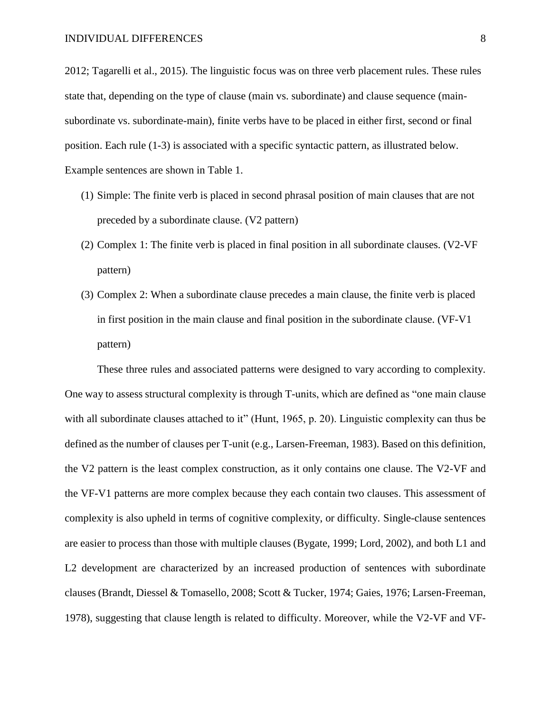2012; Tagarelli et al., 2015). The linguistic focus was on three verb placement rules. These rules state that, depending on the type of clause (main vs. subordinate) and clause sequence (mainsubordinate vs. subordinate-main), finite verbs have to be placed in either first, second or final position. Each rule (1-3) is associated with a specific syntactic pattern, as illustrated below. Example sentences are shown in Table 1.

- (1) Simple: The finite verb is placed in second phrasal position of main clauses that are not preceded by a subordinate clause. (V2 pattern)
- (2) Complex 1: The finite verb is placed in final position in all subordinate clauses. (V2-VF pattern)
- (3) Complex 2: When a subordinate clause precedes a main clause, the finite verb is placed in first position in the main clause and final position in the subordinate clause. (VF-V1 pattern)

These three rules and associated patterns were designed to vary according to complexity. One way to assess structural complexity is through T-units, which are defined as "one main clause with all subordinate clauses attached to it" (Hunt, 1965, p. 20). Linguistic complexity can thus be defined as the number of clauses per T-unit (e.g., Larsen-Freeman, 1983). Based on this definition, the V2 pattern is the least complex construction, as it only contains one clause. The V2-VF and the VF-V1 patterns are more complex because they each contain two clauses. This assessment of complexity is also upheld in terms of cognitive complexity, or difficulty. Single-clause sentences are easier to process than those with multiple clauses (Bygate, 1999; Lord, 2002), and both L1 and L2 development are characterized by an increased production of sentences with subordinate clauses (Brandt, Diessel & Tomasello, 2008; Scott & Tucker, 1974; Gaies, 1976; Larsen-Freeman, 1978), suggesting that clause length is related to difficulty. Moreover, while the V2-VF and VF-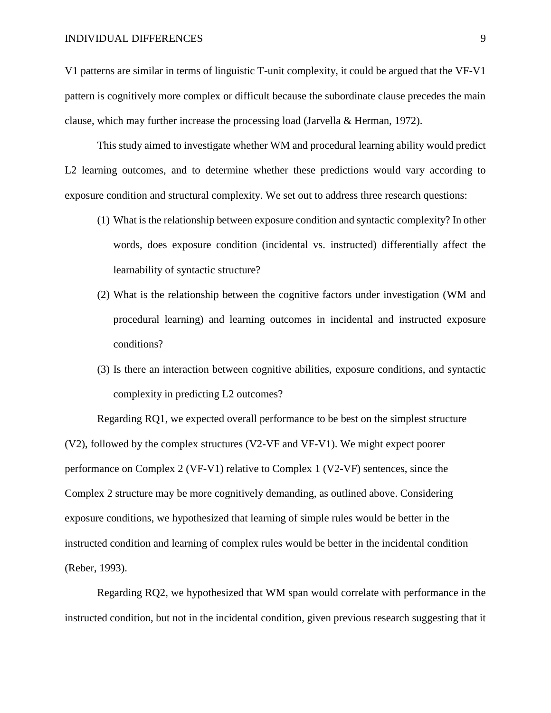V1 patterns are similar in terms of linguistic T-unit complexity, it could be argued that the VF-V1 pattern is cognitively more complex or difficult because the subordinate clause precedes the main clause, which may further increase the processing load (Jarvella & Herman, 1972).

This study aimed to investigate whether WM and procedural learning ability would predict L2 learning outcomes, and to determine whether these predictions would vary according to exposure condition and structural complexity. We set out to address three research questions:

- (1) What is the relationship between exposure condition and syntactic complexity? In other words, does exposure condition (incidental vs. instructed) differentially affect the learnability of syntactic structure?
- (2) What is the relationship between the cognitive factors under investigation (WM and procedural learning) and learning outcomes in incidental and instructed exposure conditions?
- (3) Is there an interaction between cognitive abilities, exposure conditions, and syntactic complexity in predicting L2 outcomes?

Regarding RQ1, we expected overall performance to be best on the simplest structure (V2), followed by the complex structures (V2-VF and VF-V1). We might expect poorer performance on Complex 2 (VF-V1) relative to Complex 1 (V2-VF) sentences, since the Complex 2 structure may be more cognitively demanding, as outlined above. Considering exposure conditions, we hypothesized that learning of simple rules would be better in the instructed condition and learning of complex rules would be better in the incidental condition (Reber, 1993).

Regarding RQ2, we hypothesized that WM span would correlate with performance in the instructed condition, but not in the incidental condition, given previous research suggesting that it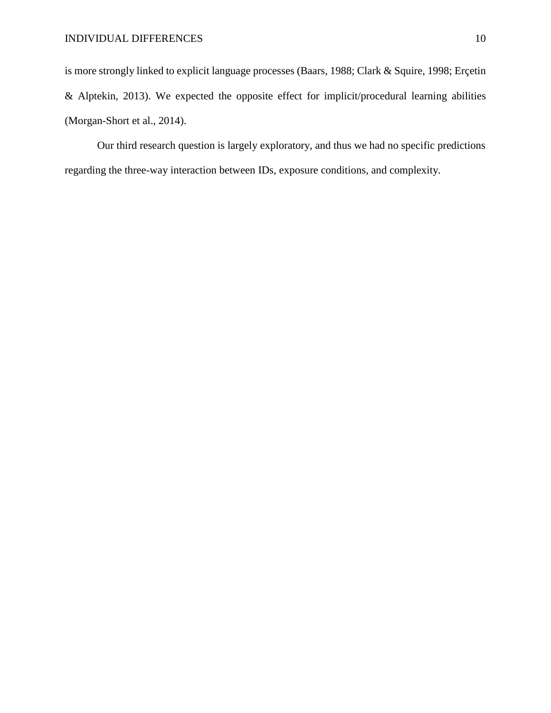is more strongly linked to explicit language processes (Baars, 1988; Clark & Squire, 1998; Erçetin & Alptekin, 2013). We expected the opposite effect for implicit/procedural learning abilities (Morgan-Short et al., 2014).

Our third research question is largely exploratory, and thus we had no specific predictions regarding the three-way interaction between IDs, exposure conditions, and complexity.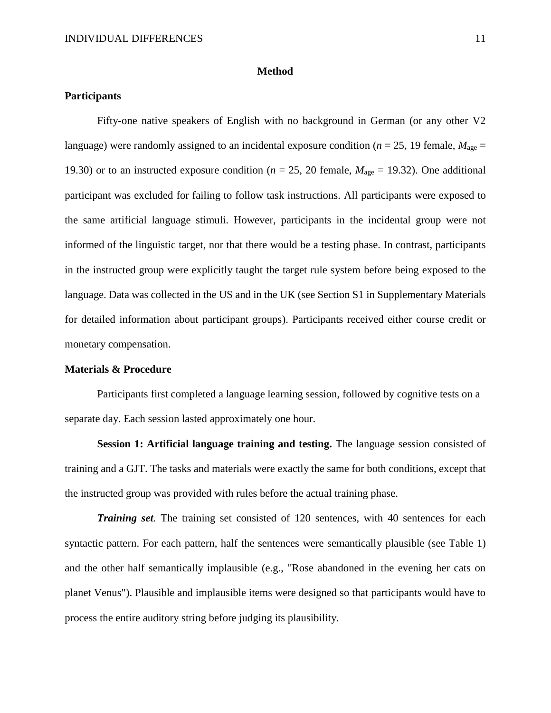#### **Method**

### **Participants**

Fifty-one native speakers of English with no background in German (or any other V2 language) were randomly assigned to an incidental exposure condition ( $n = 25$ , 19 female,  $M_{\text{age}} =$ 19.30) or to an instructed exposure condition ( $n = 25$ , 20 female,  $M_{\text{age}} = 19.32$ ). One additional participant was excluded for failing to follow task instructions. All participants were exposed to the same artificial language stimuli. However, participants in the incidental group were not informed of the linguistic target, nor that there would be a testing phase. In contrast, participants in the instructed group were explicitly taught the target rule system before being exposed to the language. Data was collected in the US and in the UK (see Section S1 in Supplementary Materials for detailed information about participant groups). Participants received either course credit or monetary compensation.

### **Materials & Procedure**

Participants first completed a language learning session, followed by cognitive tests on a separate day. Each session lasted approximately one hour.

**Session 1: Artificial language training and testing.** The language session consisted of training and a GJT. The tasks and materials were exactly the same for both conditions, except that the instructed group was provided with rules before the actual training phase.

*Training set*. The training set consisted of 120 sentences, with 40 sentences for each syntactic pattern. For each pattern, half the sentences were semantically plausible (see Table 1) and the other half semantically implausible (e.g., "Rose abandoned in the evening her cats on planet Venus"). Plausible and implausible items were designed so that participants would have to process the entire auditory string before judging its plausibility.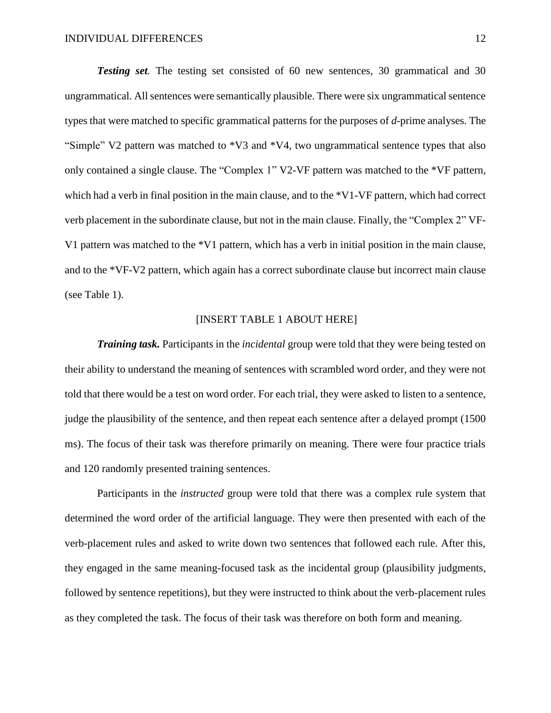**Testing set.** The testing set consisted of 60 new sentences, 30 grammatical and 30 ungrammatical. All sentences were semantically plausible. There were six ungrammatical sentence types that were matched to specific grammatical patterns for the purposes of *d*-prime analyses. The "Simple" V2 pattern was matched to \*V3 and \*V4, two ungrammatical sentence types that also only contained a single clause. The "Complex 1" V2-VF pattern was matched to the \*VF pattern, which had a verb in final position in the main clause, and to the \*V1-VF pattern, which had correct verb placement in the subordinate clause, but not in the main clause. Finally, the "Complex 2" VF-V1 pattern was matched to the \*V1 pattern, which has a verb in initial position in the main clause, and to the \*VF-V2 pattern, which again has a correct subordinate clause but incorrect main clause (see Table 1).

### [INSERT TABLE 1 ABOUT HERE]

*Training task.* Participants in the *incidental* group were told that they were being tested on their ability to understand the meaning of sentences with scrambled word order, and they were not told that there would be a test on word order. For each trial, they were asked to listen to a sentence, judge the plausibility of the sentence, and then repeat each sentence after a delayed prompt (1500 ms). The focus of their task was therefore primarily on meaning. There were four practice trials and 120 randomly presented training sentences.

Participants in the *instructed* group were told that there was a complex rule system that determined the word order of the artificial language. They were then presented with each of the verb-placement rules and asked to write down two sentences that followed each rule. After this, they engaged in the same meaning-focused task as the incidental group (plausibility judgments, followed by sentence repetitions), but they were instructed to think about the verb-placement rules as they completed the task. The focus of their task was therefore on both form and meaning.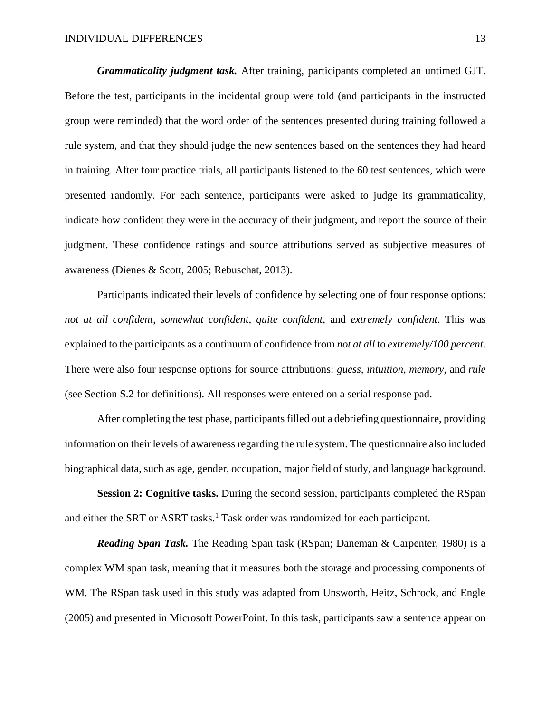*Grammaticality judgment task.* After training, participants completed an untimed GJT. Before the test, participants in the incidental group were told (and participants in the instructed group were reminded) that the word order of the sentences presented during training followed a rule system, and that they should judge the new sentences based on the sentences they had heard in training. After four practice trials, all participants listened to the 60 test sentences, which were presented randomly. For each sentence, participants were asked to judge its grammaticality, indicate how confident they were in the accuracy of their judgment, and report the source of their judgment. These confidence ratings and source attributions served as subjective measures of awareness (Dienes & Scott, 2005; Rebuschat, 2013).

Participants indicated their levels of confidence by selecting one of four response options: *not at all confident*, *somewhat confident*, *quite confident*, and *extremely confident*. This was explained to the participants as a continuum of confidence from *not at all* to *extremely/100 percent*. There were also four response options for source attributions: *guess, intuition, memory,* and *rule* (see Section S.2 for definitions)*.* All responses were entered on a serial response pad.

After completing the test phase, participants filled out a debriefing questionnaire, providing information on their levels of awareness regarding the rule system. The questionnaire also included biographical data, such as age, gender, occupation, major field of study, and language background.

**Session 2: Cognitive tasks.** During the second session, participants completed the RSpan and either the SRT or ASRT tasks.<sup>1</sup> Task order was randomized for each participant.

*Reading Span Task.* The Reading Span task (RSpan; Daneman & Carpenter, 1980) is a complex WM span task, meaning that it measures both the storage and processing components of WM. The RSpan task used in this study was adapted from Unsworth, Heitz, Schrock, and Engle (2005) and presented in Microsoft PowerPoint. In this task, participants saw a sentence appear on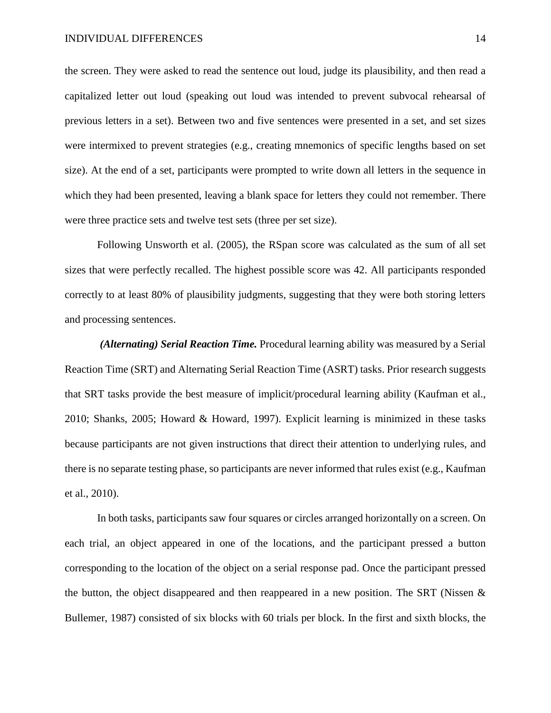the screen. They were asked to read the sentence out loud, judge its plausibility, and then read a capitalized letter out loud (speaking out loud was intended to prevent subvocal rehearsal of previous letters in a set). Between two and five sentences were presented in a set, and set sizes were intermixed to prevent strategies (e.g., creating mnemonics of specific lengths based on set size). At the end of a set, participants were prompted to write down all letters in the sequence in which they had been presented, leaving a blank space for letters they could not remember. There were three practice sets and twelve test sets (three per set size).

Following Unsworth et al. (2005), the RSpan score was calculated as the sum of all set sizes that were perfectly recalled. The highest possible score was 42. All participants responded correctly to at least 80% of plausibility judgments, suggesting that they were both storing letters and processing sentences.

*(Alternating) Serial Reaction Time.* Procedural learning ability was measured by a Serial Reaction Time (SRT) and Alternating Serial Reaction Time (ASRT) tasks. Prior research suggests that SRT tasks provide the best measure of implicit/procedural learning ability (Kaufman et al., 2010; Shanks, 2005; Howard & Howard, 1997). Explicit learning is minimized in these tasks because participants are not given instructions that direct their attention to underlying rules, and there is no separate testing phase, so participants are never informed that rules exist (e.g., Kaufman et al., 2010).

In both tasks, participants saw four squares or circles arranged horizontally on a screen. On each trial, an object appeared in one of the locations, and the participant pressed a button corresponding to the location of the object on a serial response pad. Once the participant pressed the button, the object disappeared and then reappeared in a new position. The SRT (Nissen & Bullemer, 1987) consisted of six blocks with 60 trials per block. In the first and sixth blocks, the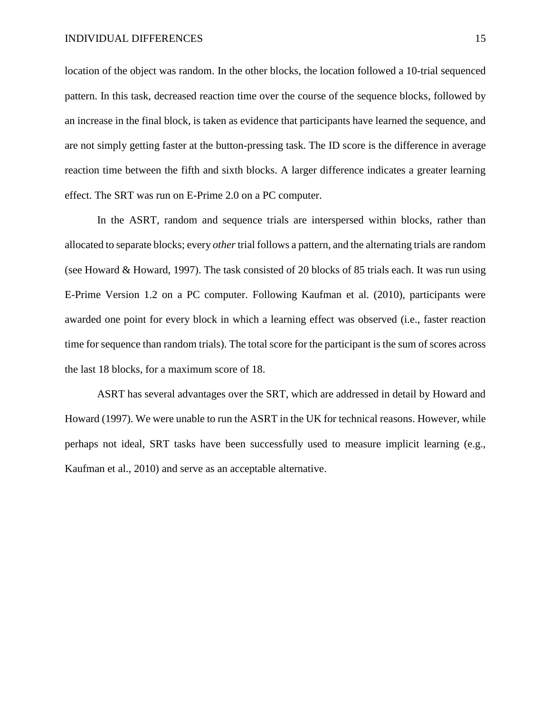location of the object was random. In the other blocks, the location followed a 10-trial sequenced pattern. In this task, decreased reaction time over the course of the sequence blocks, followed by an increase in the final block, is taken as evidence that participants have learned the sequence, and are not simply getting faster at the button-pressing task. The ID score is the difference in average reaction time between the fifth and sixth blocks. A larger difference indicates a greater learning effect. The SRT was run on E-Prime 2.0 on a PC computer.

In the ASRT, random and sequence trials are interspersed within blocks, rather than allocated to separate blocks; every *other*trial follows a pattern, and the alternating trials are random (see Howard & Howard, 1997). The task consisted of 20 blocks of 85 trials each. It was run using E-Prime Version 1.2 on a PC computer. Following Kaufman et al. (2010), participants were awarded one point for every block in which a learning effect was observed (i.e., faster reaction time for sequence than random trials). The total score for the participant is the sum of scores across the last 18 blocks, for a maximum score of 18.

ASRT has several advantages over the SRT, which are addressed in detail by Howard and Howard (1997). We were unable to run the ASRT in the UK for technical reasons. However, while perhaps not ideal, SRT tasks have been successfully used to measure implicit learning (e.g., Kaufman et al., 2010) and serve as an acceptable alternative.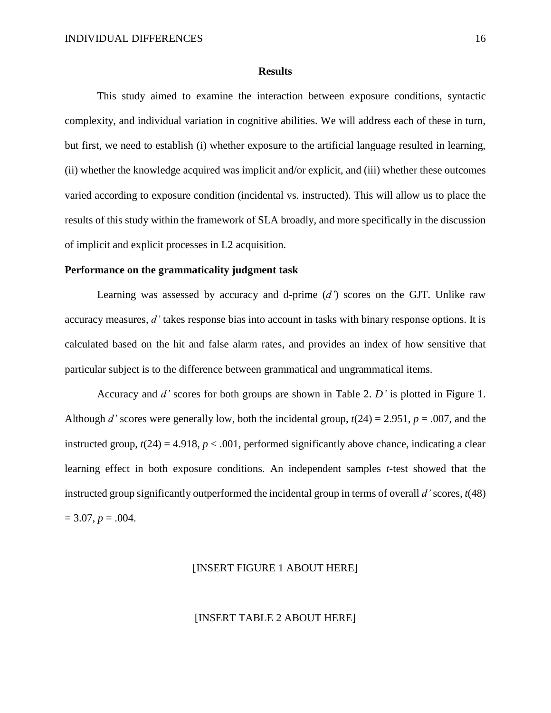#### **Results**

This study aimed to examine the interaction between exposure conditions, syntactic complexity, and individual variation in cognitive abilities. We will address each of these in turn, but first, we need to establish (i) whether exposure to the artificial language resulted in learning, (ii) whether the knowledge acquired was implicit and/or explicit, and (iii) whether these outcomes varied according to exposure condition (incidental vs. instructed). This will allow us to place the results of this study within the framework of SLA broadly, and more specifically in the discussion of implicit and explicit processes in L2 acquisition.

#### **Performance on the grammaticality judgment task**

Learning was assessed by accuracy and d-prime (*d'*) scores on the GJT. Unlike raw accuracy measures, *d'* takes response bias into account in tasks with binary response options. It is calculated based on the hit and false alarm rates, and provides an index of how sensitive that particular subject is to the difference between grammatical and ungrammatical items.

Accuracy and *d'* scores for both groups are shown in Table 2. *D'* is plotted in Figure 1. Although *d'* scores were generally low, both the incidental group,  $t(24) = 2.951$ ,  $p = .007$ , and the instructed group,  $t(24) = 4.918$ ,  $p < .001$ , performed significantly above chance, indicating a clear learning effect in both exposure conditions. An independent samples *t-*test showed that the instructed group significantly outperformed the incidental group in terms of overall *d'* scores, *t*(48)  $= 3.07, p = .004.$ 

#### [INSERT FIGURE 1 ABOUT HERE]

#### [INSERT TABLE 2 ABOUT HERE]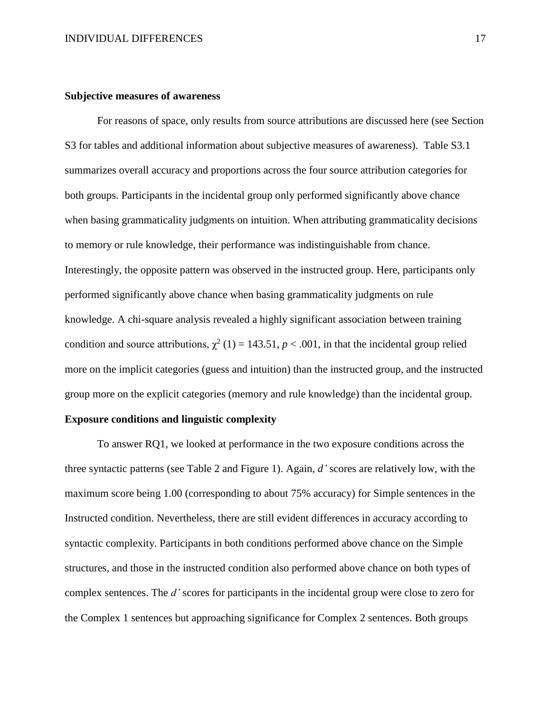### **Subjective measures of awareness**

For reasons of space, only results from source attributions are discussed here (see Section S3 for tables and additional information about subjective measures of awareness). Table S3.1 summarizes overall accuracy and proportions across the four source attribution categories for both groups. Participants in the incidental group only performed significantly above chance when basing grammaticality judgments on intuition. When attributing grammaticality decisions to memory or rule knowledge, their performance was indistinguishable from chance. Interestingly, the opposite pattern was observed in the instructed group. Here, participants only performed significantly above chance when basing grammaticality judgments on rule knowledge. A chi-square analysis revealed a highly significant association between training condition and source attributions,  $\chi^2$  (1) = 143.51, *p* < .001, in that the incidental group relied more on the implicit categories (guess and intuition) than the instructed group, and the instructed group more on the explicit categories (memory and rule knowledge) than the incidental group.

### **Exposure conditions and linguistic complexity**

To answer RQ1, we looked at performance in the two exposure conditions across the three syntactic patterns (see Table 2 and Figure 1). Again, *d'* scores are relatively low, with the maximum score being 1.00 (corresponding to about 75% accuracy) for Simple sentences in the Instructed condition. Nevertheless, there are still evident differences in accuracy according to syntactic complexity. Participants in both conditions performed above chance on the Simple structures, and those in the instructed condition also performed above chance on both types of complex sentences. The *d'* scores for participants in the incidental group were close to zero for the Complex 1 sentences but approaching significance for Complex 2 sentences. Both groups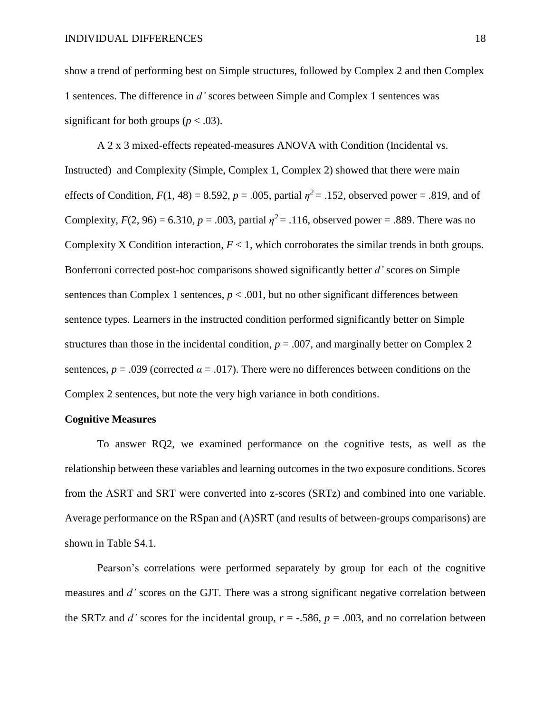show a trend of performing best on Simple structures, followed by Complex 2 and then Complex 1 sentences. The difference in *d'* scores between Simple and Complex 1 sentences was significant for both groups ( $p < .03$ ).

A 2 x 3 mixed-effects repeated-measures ANOVA with Condition (Incidental vs. Instructed) and Complexity (Simple, Complex 1, Complex 2) showed that there were main effects of Condition,  $F(1, 48) = 8.592$ ,  $p = .005$ , partial  $\eta^2 = .152$ , observed power = .819, and of Complexity,  $F(2, 96) = 6.310$ ,  $p = .003$ , partial  $\eta^2 = .116$ , observed power = .889. There was no Complexity X Condition interaction,  $F < 1$ , which corroborates the similar trends in both groups. Bonferroni corrected post-hoc comparisons showed significantly better *d'* scores on Simple sentences than Complex 1 sentences,  $p < .001$ , but no other significant differences between sentence types. Learners in the instructed condition performed significantly better on Simple structures than those in the incidental condition,  $p = .007$ , and marginally better on Complex 2 sentences,  $p = .039$  (corrected  $\alpha = .017$ ). There were no differences between conditions on the Complex 2 sentences, but note the very high variance in both conditions.

#### **Cognitive Measures**

To answer RQ2, we examined performance on the cognitive tests, as well as the relationship between these variables and learning outcomes in the two exposure conditions. Scores from the ASRT and SRT were converted into z-scores (SRTz) and combined into one variable. Average performance on the RSpan and (A)SRT (and results of between-groups comparisons) are shown in Table S4.1.

Pearson's correlations were performed separately by group for each of the cognitive measures and *d'* scores on the GJT. There was a strong significant negative correlation between the SRTz and *d'* scores for the incidental group,  $r = -.586$ ,  $p = .003$ , and no correlation between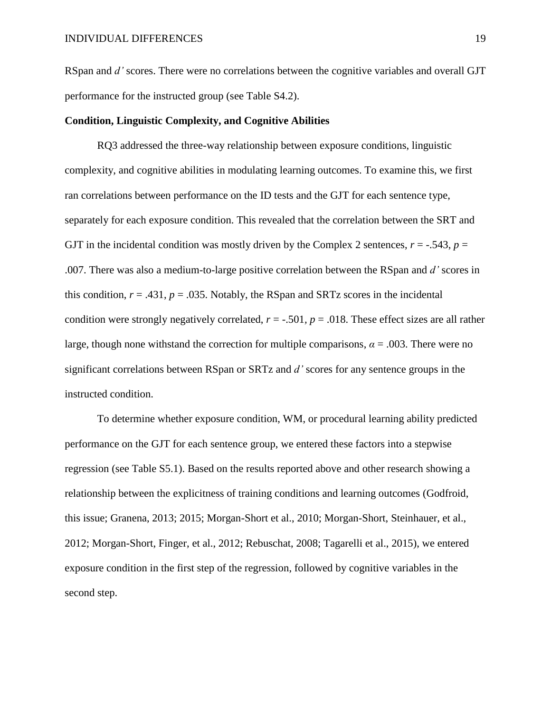RSpan and *d'* scores. There were no correlations between the cognitive variables and overall GJT performance for the instructed group (see Table S4.2).

### **Condition, Linguistic Complexity, and Cognitive Abilities**

RQ3 addressed the three-way relationship between exposure conditions, linguistic complexity, and cognitive abilities in modulating learning outcomes. To examine this, we first ran correlations between performance on the ID tests and the GJT for each sentence type, separately for each exposure condition. This revealed that the correlation between the SRT and GJT in the incidental condition was mostly driven by the Complex 2 sentences,  $r = -.543$ ,  $p =$ .007. There was also a medium-to-large positive correlation between the RSpan and *d'* scores in this condition,  $r = .431$ ,  $p = .035$ . Notably, the RSpan and SRTz scores in the incidental condition were strongly negatively correlated,  $r = -.501$ ,  $p = .018$ . These effect sizes are all rather large, though none withstand the correction for multiple comparisons,  $\alpha = .003$ . There were no significant correlations between RSpan or SRTz and *d'* scores for any sentence groups in the instructed condition.

To determine whether exposure condition, WM, or procedural learning ability predicted performance on the GJT for each sentence group, we entered these factors into a stepwise regression (see Table S5.1). Based on the results reported above and other research showing a relationship between the explicitness of training conditions and learning outcomes (Godfroid, this issue; Granena, 2013; 2015; Morgan-Short et al., 2010; Morgan-Short, Steinhauer, et al., 2012; Morgan-Short, Finger, et al., 2012; Rebuschat, 2008; Tagarelli et al., 2015), we entered exposure condition in the first step of the regression, followed by cognitive variables in the second step.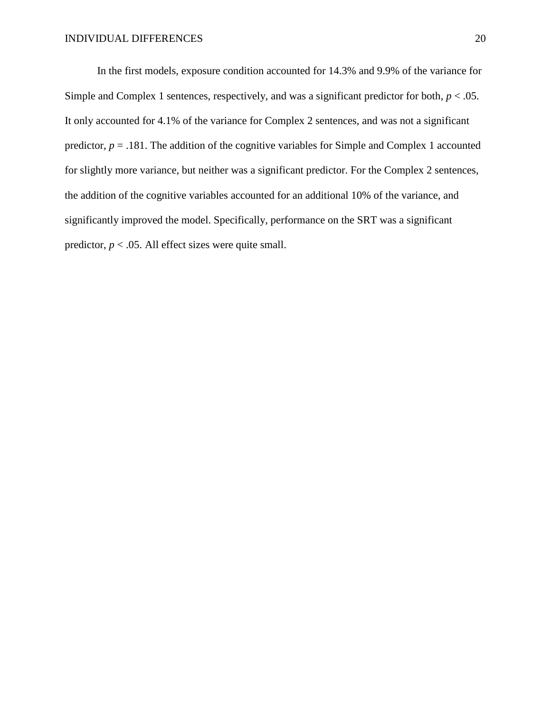In the first models, exposure condition accounted for 14.3% and 9.9% of the variance for Simple and Complex 1 sentences, respectively, and was a significant predictor for both,  $p < .05$ . It only accounted for 4.1% of the variance for Complex 2 sentences, and was not a significant predictor,  $p = .181$ . The addition of the cognitive variables for Simple and Complex 1 accounted for slightly more variance, but neither was a significant predictor. For the Complex 2 sentences, the addition of the cognitive variables accounted for an additional 10% of the variance, and significantly improved the model. Specifically, performance on the SRT was a significant predictor,  $p < .05$ . All effect sizes were quite small.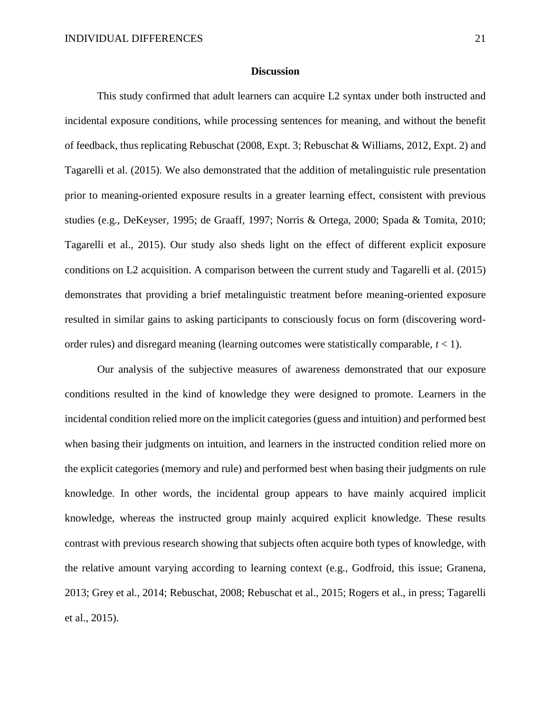#### **Discussion**

This study confirmed that adult learners can acquire L2 syntax under both instructed and incidental exposure conditions, while processing sentences for meaning, and without the benefit of feedback, thus replicating Rebuschat (2008, Expt. 3; Rebuschat & Williams, 2012, Expt. 2) and Tagarelli et al. (2015). We also demonstrated that the addition of metalinguistic rule presentation prior to meaning-oriented exposure results in a greater learning effect, consistent with previous studies (e.g., DeKeyser, 1995; de Graaff, 1997; Norris & Ortega, 2000; Spada & Tomita, 2010; Tagarelli et al., 2015). Our study also sheds light on the effect of different explicit exposure conditions on L2 acquisition. A comparison between the current study and Tagarelli et al. (2015) demonstrates that providing a brief metalinguistic treatment before meaning-oriented exposure resulted in similar gains to asking participants to consciously focus on form (discovering wordorder rules) and disregard meaning (learning outcomes were statistically comparable, *t* < 1).

Our analysis of the subjective measures of awareness demonstrated that our exposure conditions resulted in the kind of knowledge they were designed to promote. Learners in the incidental condition relied more on the implicit categories (guess and intuition) and performed best when basing their judgments on intuition, and learners in the instructed condition relied more on the explicit categories (memory and rule) and performed best when basing their judgments on rule knowledge. In other words, the incidental group appears to have mainly acquired implicit knowledge, whereas the instructed group mainly acquired explicit knowledge. These results contrast with previous research showing that subjects often acquire both types of knowledge, with the relative amount varying according to learning context (e.g., Godfroid, this issue; Granena, 2013; Grey et al., 2014; Rebuschat, 2008; Rebuschat et al., 2015; Rogers et al., in press; Tagarelli et al., 2015).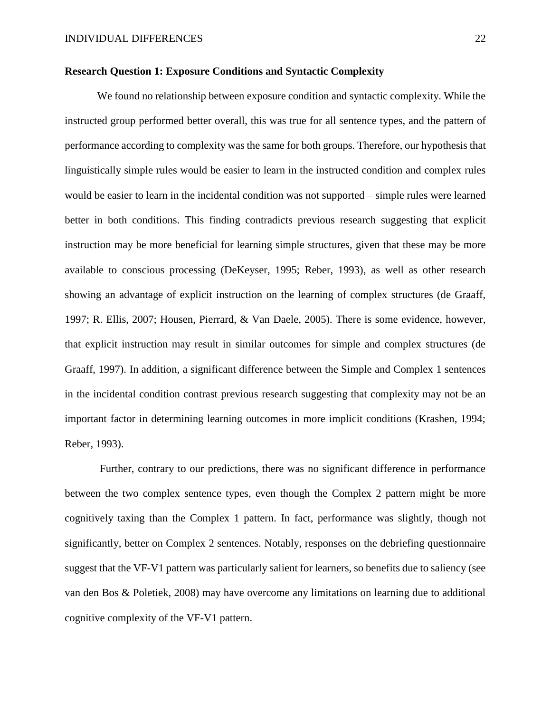## **Research Question 1: Exposure Conditions and Syntactic Complexity**

We found no relationship between exposure condition and syntactic complexity. While the instructed group performed better overall, this was true for all sentence types, and the pattern of performance according to complexity was the same for both groups. Therefore, our hypothesis that linguistically simple rules would be easier to learn in the instructed condition and complex rules would be easier to learn in the incidental condition was not supported – simple rules were learned better in both conditions. This finding contradicts previous research suggesting that explicit instruction may be more beneficial for learning simple structures, given that these may be more available to conscious processing (DeKeyser, 1995; Reber, 1993), as well as other research showing an advantage of explicit instruction on the learning of complex structures (de Graaff, 1997; R. Ellis, 2007; Housen, Pierrard, & Van Daele, 2005). There is some evidence, however, that explicit instruction may result in similar outcomes for simple and complex structures (de Graaff, 1997). In addition, a significant difference between the Simple and Complex 1 sentences in the incidental condition contrast previous research suggesting that complexity may not be an important factor in determining learning outcomes in more implicit conditions (Krashen, 1994; Reber, 1993).

Further, contrary to our predictions, there was no significant difference in performance between the two complex sentence types, even though the Complex 2 pattern might be more cognitively taxing than the Complex 1 pattern. In fact, performance was slightly, though not significantly, better on Complex 2 sentences. Notably, responses on the debriefing questionnaire suggest that the VF-V1 pattern was particularly salient for learners, so benefits due to saliency (see van den Bos & Poletiek, 2008) may have overcome any limitations on learning due to additional cognitive complexity of the VF-V1 pattern.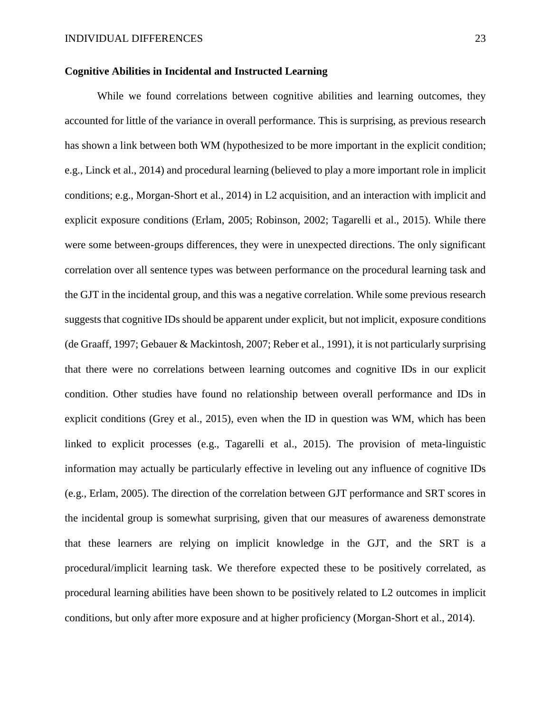### **Cognitive Abilities in Incidental and Instructed Learning**

While we found correlations between cognitive abilities and learning outcomes, they accounted for little of the variance in overall performance. This is surprising, as previous research has shown a link between both WM (hypothesized to be more important in the explicit condition; e.g., Linck et al., 2014) and procedural learning (believed to play a more important role in implicit conditions; e.g., Morgan-Short et al., 2014) in L2 acquisition, and an interaction with implicit and explicit exposure conditions (Erlam, 2005; Robinson, 2002; Tagarelli et al., 2015). While there were some between-groups differences, they were in unexpected directions. The only significant correlation over all sentence types was between performance on the procedural learning task and the GJT in the incidental group, and this was a negative correlation. While some previous research suggests that cognitive IDs should be apparent under explicit, but not implicit, exposure conditions (de Graaff, 1997; Gebauer & Mackintosh, 2007; Reber et al., 1991), it is not particularly surprising that there were no correlations between learning outcomes and cognitive IDs in our explicit condition. Other studies have found no relationship between overall performance and IDs in explicit conditions (Grey et al., 2015), even when the ID in question was WM, which has been linked to explicit processes (e.g., Tagarelli et al., 2015). The provision of meta-linguistic information may actually be particularly effective in leveling out any influence of cognitive IDs (e.g., Erlam, 2005). The direction of the correlation between GJT performance and SRT scores in the incidental group is somewhat surprising, given that our measures of awareness demonstrate that these learners are relying on implicit knowledge in the GJT, and the SRT is a procedural/implicit learning task. We therefore expected these to be positively correlated, as procedural learning abilities have been shown to be positively related to L2 outcomes in implicit conditions, but only after more exposure and at higher proficiency (Morgan-Short et al., 2014).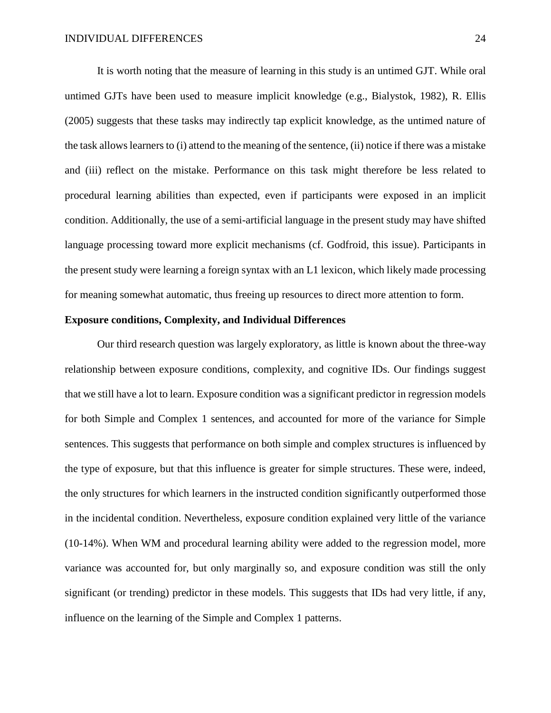It is worth noting that the measure of learning in this study is an untimed GJT. While oral untimed GJTs have been used to measure implicit knowledge (e.g., Bialystok, 1982), R. Ellis (2005) suggests that these tasks may indirectly tap explicit knowledge, as the untimed nature of the task allows learners to (i) attend to the meaning of the sentence, (ii) notice if there was a mistake and (iii) reflect on the mistake. Performance on this task might therefore be less related to procedural learning abilities than expected, even if participants were exposed in an implicit condition. Additionally, the use of a semi-artificial language in the present study may have shifted language processing toward more explicit mechanisms (cf. Godfroid, this issue). Participants in the present study were learning a foreign syntax with an L1 lexicon, which likely made processing for meaning somewhat automatic, thus freeing up resources to direct more attention to form.

### **Exposure conditions, Complexity, and Individual Differences**

Our third research question was largely exploratory, as little is known about the three-way relationship between exposure conditions, complexity, and cognitive IDs. Our findings suggest that we still have a lot to learn. Exposure condition was a significant predictor in regression models for both Simple and Complex 1 sentences, and accounted for more of the variance for Simple sentences. This suggests that performance on both simple and complex structures is influenced by the type of exposure, but that this influence is greater for simple structures. These were, indeed, the only structures for which learners in the instructed condition significantly outperformed those in the incidental condition. Nevertheless, exposure condition explained very little of the variance (10-14%). When WM and procedural learning ability were added to the regression model, more variance was accounted for, but only marginally so, and exposure condition was still the only significant (or trending) predictor in these models. This suggests that IDs had very little, if any, influence on the learning of the Simple and Complex 1 patterns.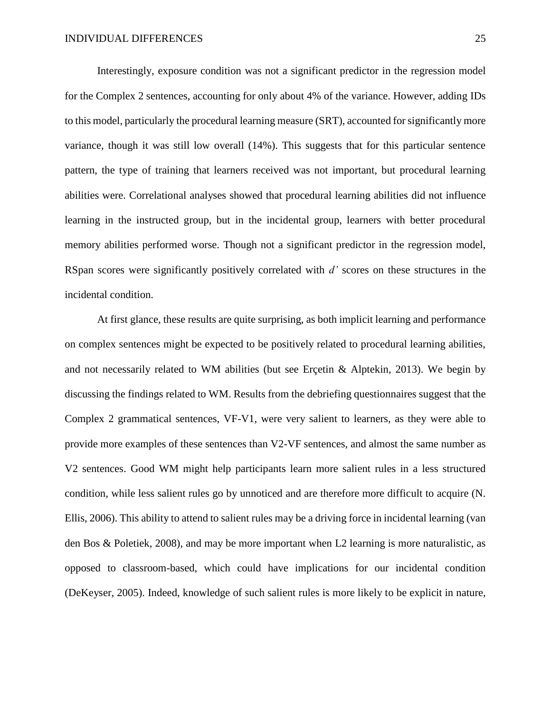Interestingly, exposure condition was not a significant predictor in the regression model for the Complex 2 sentences, accounting for only about 4% of the variance. However, adding IDs to this model, particularly the procedural learning measure (SRT), accounted for significantly more variance, though it was still low overall (14%). This suggests that for this particular sentence pattern, the type of training that learners received was not important, but procedural learning abilities were. Correlational analyses showed that procedural learning abilities did not influence learning in the instructed group, but in the incidental group, learners with better procedural memory abilities performed worse. Though not a significant predictor in the regression model, RSpan scores were significantly positively correlated with *d'* scores on these structures in the incidental condition.

At first glance, these results are quite surprising, as both implicit learning and performance on complex sentences might be expected to be positively related to procedural learning abilities, and not necessarily related to WM abilities (but see Erçetin & Alptekin, 2013). We begin by discussing the findings related to WM. Results from the debriefing questionnaires suggest that the Complex 2 grammatical sentences, VF-V1, were very salient to learners, as they were able to provide more examples of these sentences than V2-VF sentences, and almost the same number as V2 sentences. Good WM might help participants learn more salient rules in a less structured condition, while less salient rules go by unnoticed and are therefore more difficult to acquire (N. Ellis, 2006). This ability to attend to salient rules may be a driving force in incidental learning (van den Bos & Poletiek, 2008), and may be more important when L2 learning is more naturalistic, as opposed to classroom-based, which could have implications for our incidental condition (DeKeyser, 2005). Indeed, knowledge of such salient rules is more likely to be explicit in nature,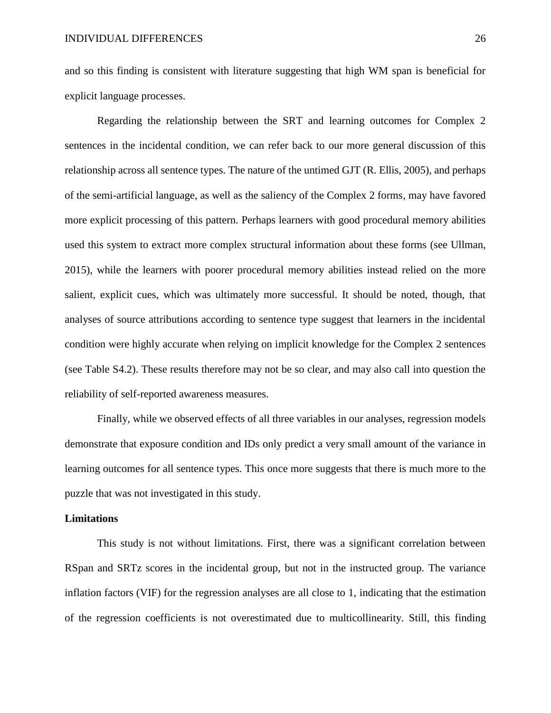and so this finding is consistent with literature suggesting that high WM span is beneficial for explicit language processes.

Regarding the relationship between the SRT and learning outcomes for Complex 2 sentences in the incidental condition, we can refer back to our more general discussion of this relationship across all sentence types. The nature of the untimed GJT (R. Ellis, 2005), and perhaps of the semi-artificial language, as well as the saliency of the Complex 2 forms, may have favored more explicit processing of this pattern. Perhaps learners with good procedural memory abilities used this system to extract more complex structural information about these forms (see Ullman, 2015), while the learners with poorer procedural memory abilities instead relied on the more salient, explicit cues, which was ultimately more successful. It should be noted, though, that analyses of source attributions according to sentence type suggest that learners in the incidental condition were highly accurate when relying on implicit knowledge for the Complex 2 sentences (see Table S4.2). These results therefore may not be so clear, and may also call into question the reliability of self-reported awareness measures.

Finally, while we observed effects of all three variables in our analyses, regression models demonstrate that exposure condition and IDs only predict a very small amount of the variance in learning outcomes for all sentence types. This once more suggests that there is much more to the puzzle that was not investigated in this study.

#### **Limitations**

This study is not without limitations. First, there was a significant correlation between RSpan and SRTz scores in the incidental group, but not in the instructed group. The variance inflation factors (VIF) for the regression analyses are all close to 1, indicating that the estimation of the regression coefficients is not overestimated due to multicollinearity. Still, this finding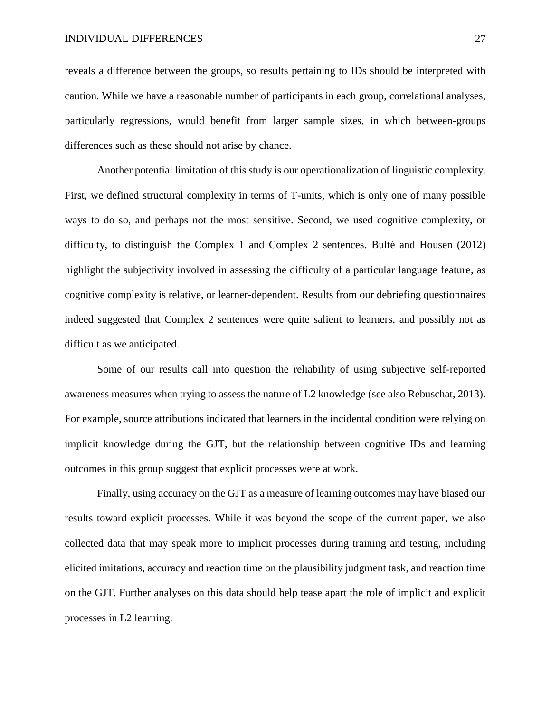reveals a difference between the groups, so results pertaining to IDs should be interpreted with caution. While we have a reasonable number of participants in each group, correlational analyses, particularly regressions, would benefit from larger sample sizes, in which between-groups differences such as these should not arise by chance.

Another potential limitation of this study is our operationalization of linguistic complexity. First, we defined structural complexity in terms of T-units, which is only one of many possible ways to do so, and perhaps not the most sensitive. Second, we used cognitive complexity, or difficulty, to distinguish the Complex 1 and Complex 2 sentences. Bulté and Housen (2012) highlight the subjectivity involved in assessing the difficulty of a particular language feature, as cognitive complexity is relative, or learner-dependent. Results from our debriefing questionnaires indeed suggested that Complex 2 sentences were quite salient to learners, and possibly not as difficult as we anticipated.

Some of our results call into question the reliability of using subjective self-reported awareness measures when trying to assess the nature of L2 knowledge (see also Rebuschat, 2013). For example, source attributions indicated that learners in the incidental condition were relying on implicit knowledge during the GJT, but the relationship between cognitive IDs and learning outcomes in this group suggest that explicit processes were at work.

Finally, using accuracy on the GJT as a measure of learning outcomes may have biased our results toward explicit processes. While it was beyond the scope of the current paper, we also collected data that may speak more to implicit processes during training and testing, including elicited imitations, accuracy and reaction time on the plausibility judgment task, and reaction time on the GJT. Further analyses on this data should help tease apart the role of implicit and explicit processes in L2 learning.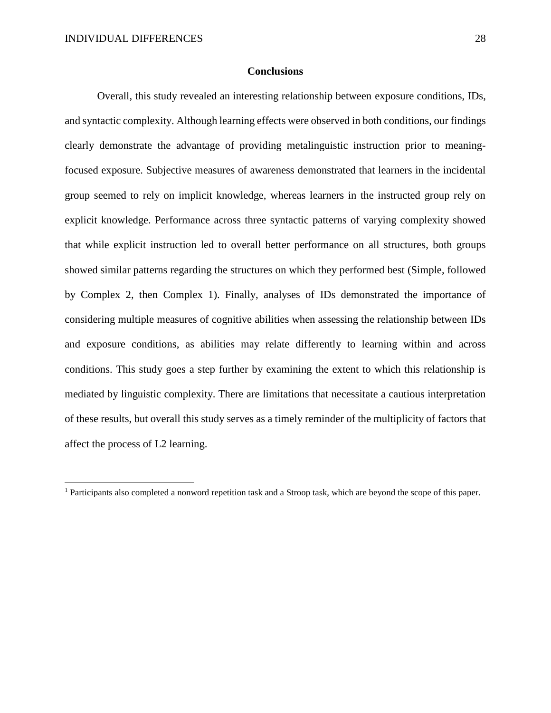$\overline{a}$ 

#### **Conclusions**

Overall, this study revealed an interesting relationship between exposure conditions, IDs, and syntactic complexity. Although learning effects were observed in both conditions, our findings clearly demonstrate the advantage of providing metalinguistic instruction prior to meaningfocused exposure. Subjective measures of awareness demonstrated that learners in the incidental group seemed to rely on implicit knowledge, whereas learners in the instructed group rely on explicit knowledge. Performance across three syntactic patterns of varying complexity showed that while explicit instruction led to overall better performance on all structures, both groups showed similar patterns regarding the structures on which they performed best (Simple, followed by Complex 2, then Complex 1). Finally, analyses of IDs demonstrated the importance of considering multiple measures of cognitive abilities when assessing the relationship between IDs and exposure conditions, as abilities may relate differently to learning within and across conditions. This study goes a step further by examining the extent to which this relationship is mediated by linguistic complexity. There are limitations that necessitate a cautious interpretation of these results, but overall this study serves as a timely reminder of the multiplicity of factors that affect the process of L2 learning.

<sup>1</sup> Participants also completed a nonword repetition task and a Stroop task, which are beyond the scope of this paper.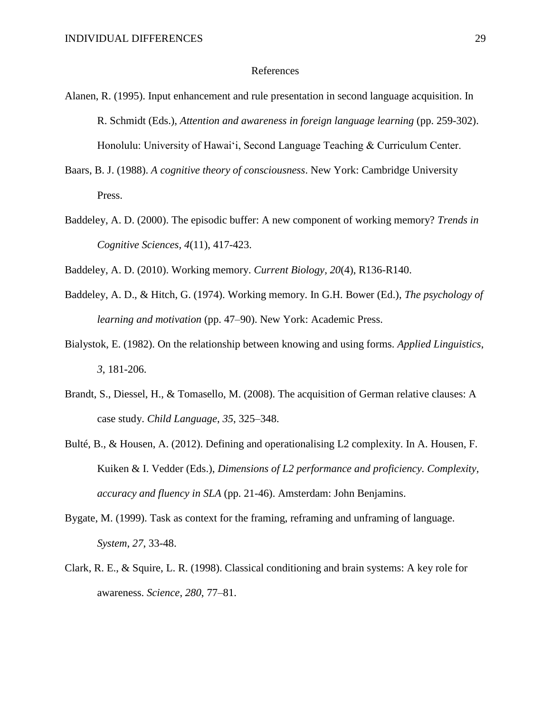#### References

- Alanen, R. (1995). Input enhancement and rule presentation in second language acquisition. In R. Schmidt (Eds.), *Attention and awareness in foreign language learning* (pp. 259-302). Honolulu: University of Hawai'i, Second Language Teaching & Curriculum Center.
- Baars, B. J. (1988). *A cognitive theory of consciousness*. New York: Cambridge University Press.
- Baddeley, A. D. (2000). The episodic buffer: A new component of working memory? *Trends in Cognitive Sciences, 4*(11), 417-423.
- Baddeley, A. D. (2010). Working memory. *Current Biology, 20*(4), R136-R140.
- Baddeley, A. D., & Hitch, G. (1974). Working memory. In G.H. Bower (Ed.), *The psychology of learning and motivation* (pp. 47–90). New York: Academic Press.
- Bialystok, E. (1982). On the relationship between knowing and using forms. *Applied Linguistics*, *3*, 181-206.
- Brandt, S., Diessel, H., & Tomasello, M. (2008). The acquisition of German relative clauses: A case study. *Child Language*, *35*, 325–348.
- Bulté, B., & Housen, A. (2012). Defining and operationalising L2 complexity. In A. Housen, F. Kuiken & I. Vedder (Eds.), *Dimensions of L2 performance and proficiency. Complexity, accuracy and fluency in SLA* (pp. 21-46). Amsterdam: John Benjamins.
- Bygate, M. (1999). Task as context for the framing, reframing and unframing of language. *System*, *27*, 33-48.
- Clark, R. E., & Squire, L. R. (1998). Classical conditioning and brain systems: A key role for awareness. *Science*, *280*, 77–81.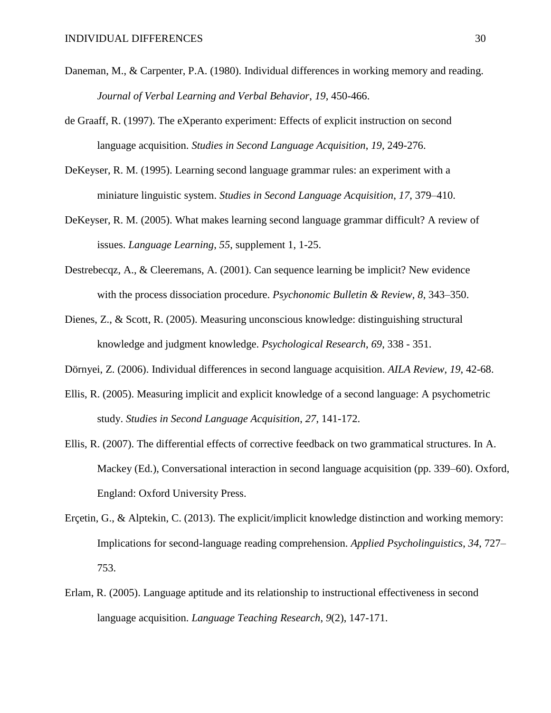- Daneman, M., & Carpenter, P.A. (1980). Individual differences in working memory and reading. *Journal of Verbal Learning and Verbal Behavior*, *19*, 450-466.
- de Graaff, R. (1997). The eXperanto experiment: Effects of explicit instruction on second language acquisition. *Studies in Second Language Acquisition*, *19*, 249-276.
- DeKeyser, R. M. (1995). Learning second language grammar rules: an experiment with a miniature linguistic system. *Studies in Second Language Acquisition*, *17*, 379–410.
- DeKeyser, R. M. (2005). What makes learning second language grammar difficult? A review of issues. *Language Learning*, *55*, supplement 1, 1-25.
- Destrebecqz, A., & Cleeremans, A. (2001). Can sequence learning be implicit? New evidence with the process dissociation procedure. *Psychonomic Bulletin & Review*, *8*, 343–350.
- Dienes, Z., & Scott, R. (2005). Measuring unconscious knowledge: distinguishing structural knowledge and judgment knowledge. *Psychological Research*, *69*, 338 - 351.
- Dörnyei, Z. (2006). Individual differences in second language acquisition. *AILA Review*, *19*, 42-68.
- Ellis, R. (2005). Measuring implicit and explicit knowledge of a second language: A psychometric study. *Studies in Second Language Acquisition*, *27*, 141-172.
- Ellis, R. (2007). The differential effects of corrective feedback on two grammatical structures. In A. Mackey (Ed.), Conversational interaction in second language acquisition (pp. 339–60). Oxford, England: Oxford University Press.
- Erçetin, G., & Alptekin, C. (2013). The explicit/implicit knowledge distinction and working memory: Implications for second-language reading comprehension. *Applied Psycholinguistics*, *34*, 727– 753.
- Erlam, R. (2005). Language aptitude and its relationship to instructional effectiveness in second language acquisition. *Language Teaching Research*, *9*(2), 147-171.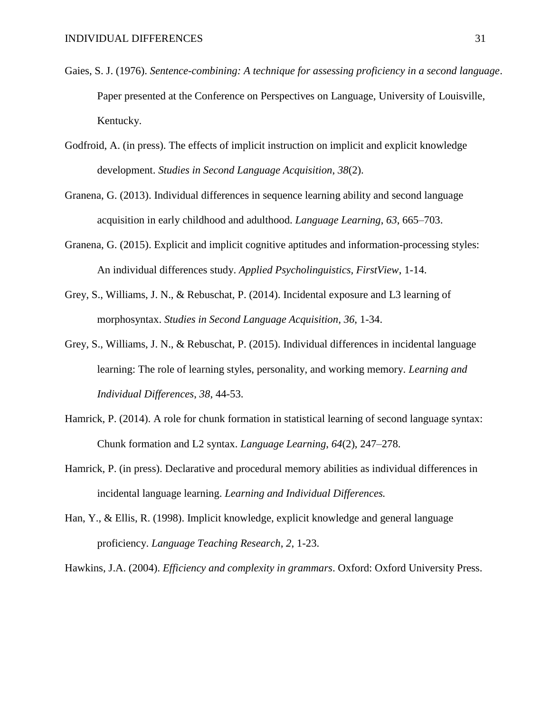- Gaies, S. J. (1976). *Sentence-combining: A technique for assessing proficiency in a second language*. Paper presented at the Conference on Perspectives on Language, University of Louisville, Kentucky.
- Godfroid, A. (in press). The effects of implicit instruction on implicit and explicit knowledge development. *Studies in Second Language Acquisition*, *38*(2).
- Granena, G. (2013). Individual differences in sequence learning ability and second language acquisition in early childhood and adulthood. *Language Learning*, *63*, 665–703.
- Granena, G. (2015). Explicit and implicit cognitive aptitudes and information-processing styles: An individual differences study. *Applied Psycholinguistics, FirstView*, 1-14.
- Grey, S., Williams, J. N., & Rebuschat, P. (2014). Incidental exposure and L3 learning of morphosyntax. *Studies in Second Language Acquisition*, *36*, 1-34.
- Grey, S., Williams, J. N., & Rebuschat, P. (2015). Individual differences in incidental language learning: The role of learning styles, personality, and working memory. *Learning and Individual Differences*, *38*, 44-53.
- Hamrick, P. (2014). A role for chunk formation in statistical learning of second language syntax: Chunk formation and L2 syntax. *Language Learning*, *64*(2), 247–278.
- Hamrick, P. (in press). Declarative and procedural memory abilities as individual differences in incidental language learning. *Learning and Individual Differences.*
- Han, Y., & Ellis, R. (1998). Implicit knowledge, explicit knowledge and general language proficiency. *Language Teaching Research*, *2*, 1-23.

Hawkins, J.A. (2004). *Efficiency and complexity in grammars*. Oxford: Oxford University Press.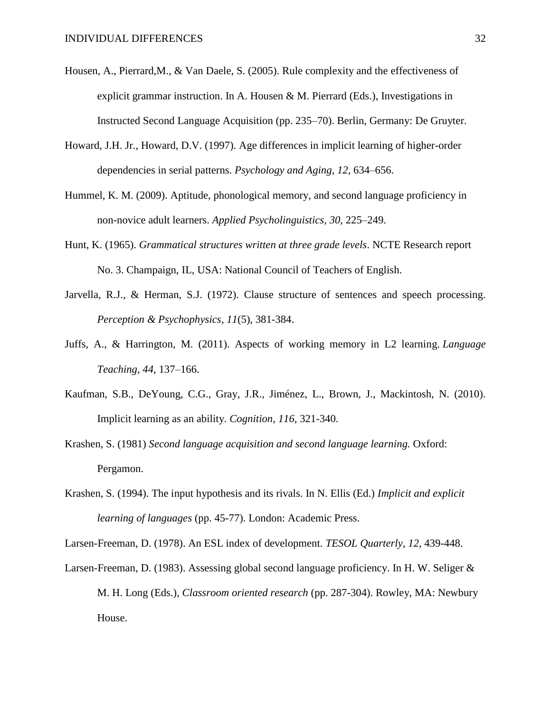- Housen, A., Pierrard,M., & Van Daele, S. (2005). Rule complexity and the effectiveness of explicit grammar instruction. In A. Housen & M. Pierrard (Eds.), Investigations in Instructed Second Language Acquisition (pp. 235–70). Berlin, Germany: De Gruyter.
- Howard, J.H. Jr., Howard, D.V. (1997). Age differences in implicit learning of higher-order dependencies in serial patterns. *Psychology and Aging*, *12*, 634–656.
- Hummel, K. M. (2009). Aptitude, phonological memory, and second language proficiency in non-novice adult learners. *Applied Psycholinguistics*, *30*, 225–249.
- Hunt, K. (1965). *Grammatical structures written at three grade levels*. NCTE Research report No. 3. Champaign, IL, USA: National Council of Teachers of English.
- Jarvella, R.J., & Herman, S.J. (1972). Clause structure of sentences and speech processing. *Perception & Psychophysics*, *11*(5), 381-384.
- Juffs, A., & Harrington, M. (2011). Aspects of working memory in L2 learning. *Language Teaching*, *44*, 137–166.
- Kaufman, S.B., DeYoung, C.G., Gray, J.R., Jiménez, L., Brown, J., Mackintosh, N. (2010). Implicit learning as an ability. *Cognition*, *116*, 321-340.
- Krashen, S. (1981) *Second language acquisition and second language learning.* Oxford: Pergamon.
- Krashen, S. (1994). The input hypothesis and its rivals. In N. Ellis (Ed.) *Implicit and explicit learning of languages* (pp. 45-77). London: Academic Press.

Larsen-Freeman, D. (1978). An ESL index of development. *TESOL Quarterly*, *12*, 439-448.

Larsen-Freeman, D. (1983). Assessing global second language proficiency. In H. W. Seliger & M. H. Long (Eds.), *Classroom oriented research* (pp. 287-304). Rowley, MA: Newbury House.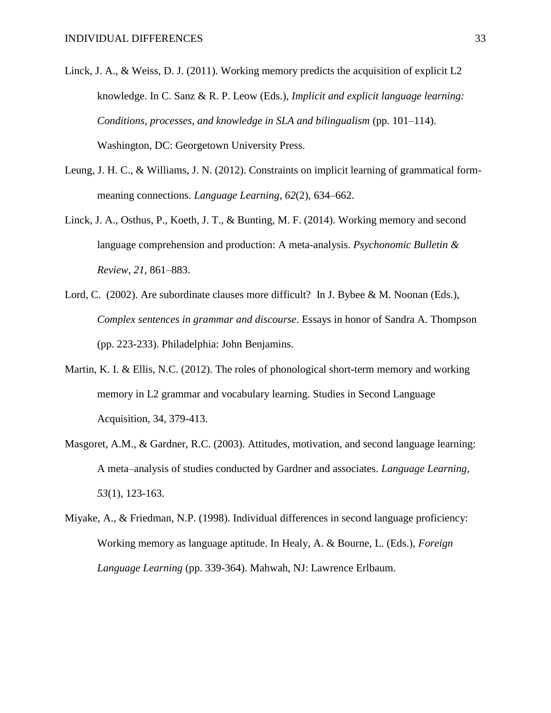- Linck, J. A., & Weiss, D. J. (2011). Working memory predicts the acquisition of explicit L2 knowledge. In C. Sanz & R. P. Leow (Eds.), *Implicit and explicit language learning: Conditions, processes, and knowledge in SLA and bilingualism* (pp. 101–114). Washington, DC: Georgetown University Press.
- Leung, J. H. C., & Williams, J. N. (2012). Constraints on implicit learning of grammatical formmeaning connections. *Language Learning*, *62*(2), 634–662.
- Linck, J. A., Osthus, P., Koeth, J. T., & Bunting, M. F. (2014). Working memory and second language comprehension and production: A meta-analysis. *Psychonomic Bulletin & Review*, *21*, 861–883.
- Lord, C. (2002). Are subordinate clauses more difficult? In J. Bybee & M. Noonan (Eds.), *Complex sentences in grammar and discourse*. Essays in honor of Sandra A. Thompson (pp. 223-233). Philadelphia: John Benjamins.
- Martin, K. I. & Ellis, N.C. (2012). The roles of phonological short-term memory and working memory in L2 grammar and vocabulary learning. Studies in Second Language Acquisition, 34, 379-413.
- Masgoret, A.M., & Gardner, R.C. (2003). Attitudes, motivation, and second language learning: A meta–analysis of studies conducted by Gardner and associates. *Language Learning*, *53*(1), 123-163.
- Miyake, A., & Friedman, N.P. (1998). Individual differences in second language proficiency: Working memory as language aptitude. In Healy, A. & Bourne, L. (Eds.), *Foreign Language Learning* (pp. 339-364). Mahwah, NJ: Lawrence Erlbaum.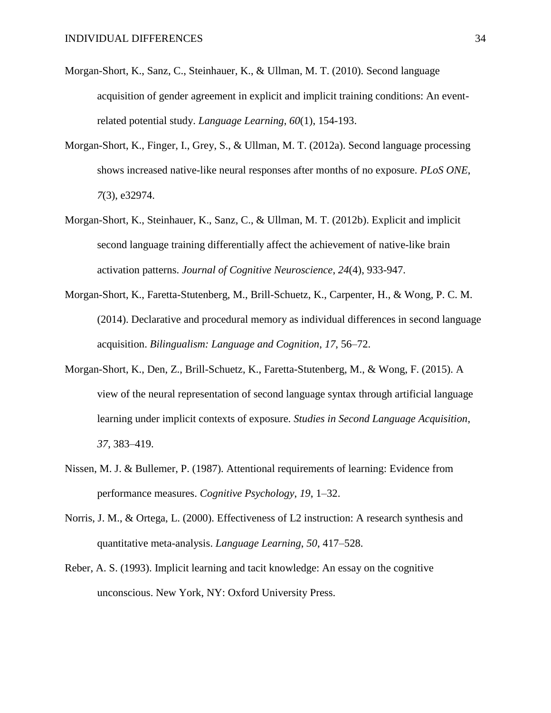- Morgan-Short, K., Sanz, C., Steinhauer, K., & Ullman, M. T. (2010). Second language acquisition of gender agreement in explicit and implicit training conditions: An eventrelated potential study. *Language Learning*, *60*(1), 154-193.
- Morgan-Short, K., Finger, I., Grey, S., & Ullman, M. T. (2012a). Second language processing shows increased native-like neural responses after months of no exposure. *PLoS ONE*, *7*(3), e32974.
- Morgan-Short, K., Steinhauer, K., Sanz, C., & Ullman, M. T. (2012b). Explicit and implicit second language training differentially affect the achievement of native-like brain activation patterns. *Journal of Cognitive Neuroscience*, *24*(4), 933-947.
- Morgan-Short, K., Faretta-Stutenberg, M., Brill-Schuetz, K., Carpenter, H., & Wong, P. C. M. (2014). Declarative and procedural memory as individual differences in second language acquisition. *Bilingualism: Language and Cognition*, *17*, 56–72.
- Morgan-Short, K., Den, Z., Brill-Schuetz, K., Faretta-Stutenberg, M., & Wong, F. (2015). A view of the neural representation of second language syntax through artificial language learning under implicit contexts of exposure. *Studies in Second Language Acquisition*, *37*, 383–419.
- Nissen, M. J. & Bullemer, P. (1987). Attentional requirements of learning: Evidence from performance measures. *Cognitive Psychology*, *19*, 1–32.
- Norris, J. M., & Ortega, L. (2000). Effectiveness of L2 instruction: A research synthesis and quantitative meta-analysis. *Language Learning*, *50*, 417–528.
- Reber, A. S. (1993). Implicit learning and tacit knowledge: An essay on the cognitive unconscious. New York, NY: Oxford University Press.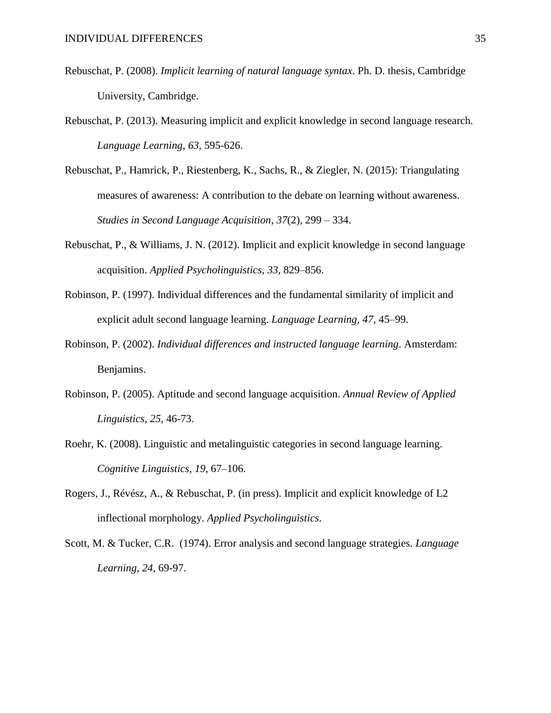- Rebuschat, P. (2008). *Implicit learning of natural language syntax*. Ph. D. thesis, Cambridge University, Cambridge.
- Rebuschat, P. (2013). Measuring implicit and explicit knowledge in second language research. *Language Learning*, *63*, 595-626.
- Rebuschat, P., Hamrick, P., Riestenberg, K., Sachs, R., & Ziegler, N. (2015): Triangulating measures of awareness: A contribution to the debate on learning without awareness. *Studies in Second Language Acquisition*, *37*(2), 299 – 334.
- Rebuschat, P., & Williams, J. N. (2012). Implicit and explicit knowledge in second language acquisition. *Applied Psycholinguistics*, *33*, 829–856.
- Robinson, P. (1997). Individual differences and the fundamental similarity of implicit and explicit adult second language learning. *Language Learning, 47*, 45–99.
- Robinson, P. (2002). *Individual differences and instructed language learning*. Amsterdam: Benjamins.
- Robinson, P. (2005). Aptitude and second language acquisition. *Annual Review of Applied Linguistics*, *25*, 46-73.
- Roehr, K. (2008). Linguistic and metalinguistic categories in second language learning. *Cognitive Linguistics*, *19*, 67–106.
- Rogers, J., Révész, A., & Rebuschat, P. (in press). Implicit and explicit knowledge of L2 inflectional morphology. *Applied Psycholinguistics*.
- Scott, M. & Tucker, C.R. (1974). Error analysis and second language strategies. *Language Learning*, *24*, 69-97.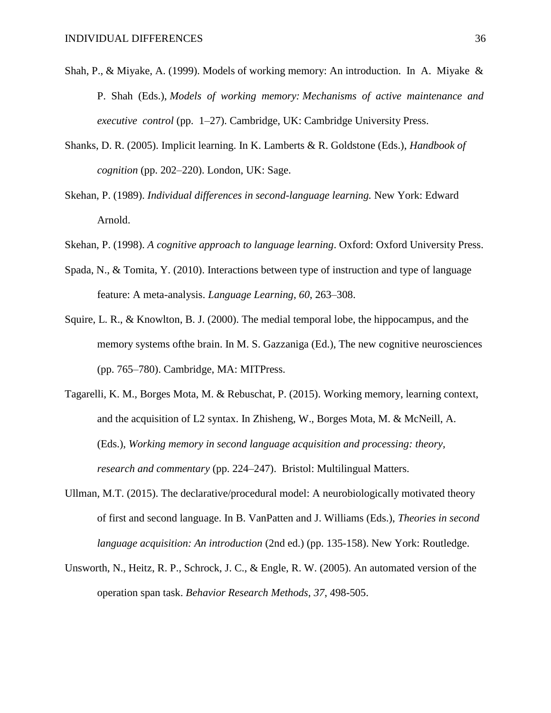- Shah, P., & Miyake, A. (1999). Models of working memory: An introduction. In A. Miyake  $\&$ P. Shah (Eds.), *Models of working memory: Mechanisms of active maintenance and executive control* (pp. 1–27). Cambridge, UK: Cambridge University Press.
- Shanks, D. R. (2005). Implicit learning. In K. Lamberts & R. Goldstone (Eds.), *Handbook of cognition* (pp. 202–220). London, UK: Sage.
- Skehan, P. (1989). *Individual differences in second-language learning.* New York: Edward Arnold.
- Skehan, P. (1998). *A cognitive approach to language learning*. Oxford: Oxford University Press.
- Spada, N., & Tomita, Y. (2010). Interactions between type of instruction and type of language feature: A meta-analysis. *Language Learning*, *60*, 263–308.
- Squire, L. R., & Knowlton, B. J. (2000). The medial temporal lobe, the hippocampus, and the memory systems ofthe brain. In M. S. Gazzaniga (Ed.), The new cognitive neurosciences (pp. 765–780). Cambridge, MA: MITPress.
- Tagarelli, K. M., Borges Mota, M. & Rebuschat, P. (2015). Working memory, learning context, and the acquisition of L2 syntax. In Zhisheng, W., Borges Mota, M. & McNeill, A. (Eds.), *Working memory in second language acquisition and processing: theory, research and commentary* (pp. 224–247). Bristol: Multilingual Matters.
- Ullman, M.T. (2015). The declarative/procedural model: A neurobiologically motivated theory of first and second language. In B. VanPatten and J. Williams (Eds.), *Theories in second language acquisition: An introduction* (2nd ed.) (pp. 135-158). New York: Routledge.
- Unsworth, N., Heitz, R. P., Schrock, J. C., & Engle, R. W. (2005). An automated version of the operation span task. *Behavior Research Methods*, *37*, 498-505.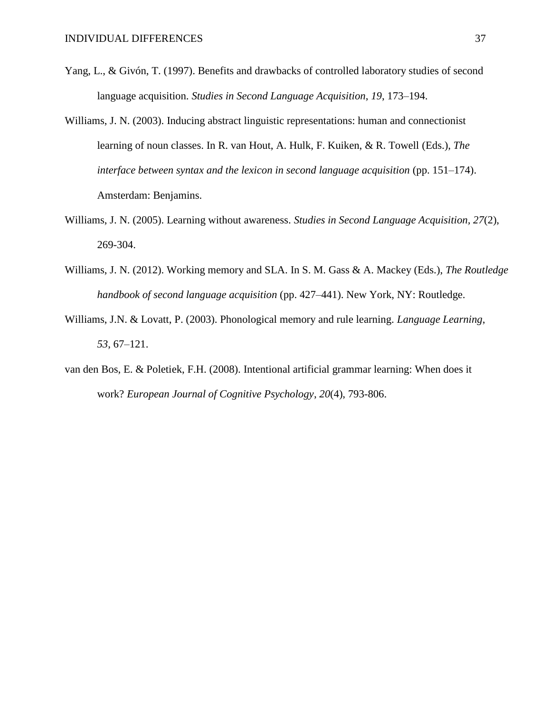- Yang, L., & Givón, T. (1997). Benefits and drawbacks of controlled laboratory studies of second language acquisition. *Studies in Second Language Acquisition*, *19*, 173–194.
- Williams, J. N. (2003). Inducing abstract linguistic representations: human and connectionist learning of noun classes. In R. van Hout, A. Hulk, F. Kuiken, & R. Towell (Eds.), *The interface between syntax and the lexicon in second language acquisition* (pp. 151–174). Amsterdam: Benjamins.
- Williams, J. N. (2005). Learning without awareness. *Studies in Second Language Acquisition, 27*(2), 269-304.
- Williams, J. N. (2012). Working memory and SLA. In S. M. Gass & A. Mackey (Eds.), *The Routledge handbook of second language acquisition* (pp. 427–441). New York, NY: Routledge.
- Williams, J.N. & Lovatt, P. (2003). Phonological memory and rule learning. *Language Learning*, *53*, 67–121.
- van den Bos, E. & Poletiek, F.H. (2008). Intentional artificial grammar learning: When does it work? *European Journal of Cognitive Psychology*, *20*(4), 793-806.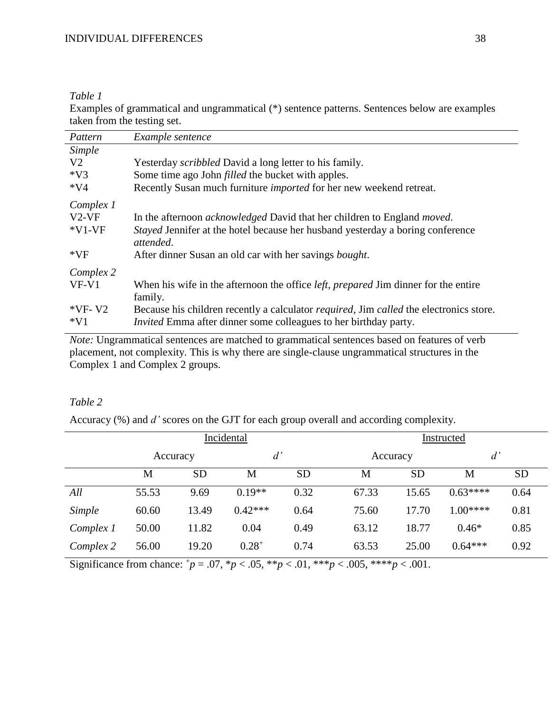## *Table 1*

Examples of grammatical and ungrammatical (\*) sentence patterns. Sentences below are examples taken from the testing set.

| Pattern        | Example sentence                                                                                             |
|----------------|--------------------------------------------------------------------------------------------------------------|
| Simple         |                                                                                                              |
| V <sub>2</sub> | Yesterday <i>scribbled</i> David a long letter to his family.                                                |
| $*V3$          | Some time ago John <i>filled</i> the bucket with apples.                                                     |
| $*V4$          | Recently Susan much furniture <i>imported</i> for her new weekend retreat.                                   |
| Complex 1      |                                                                                                              |
| $V2-VF$        | In the afternoon <i>acknowledged</i> David that her children to England <i>moved</i> .                       |
| $*V1-VF$       | <i>Stayed</i> Jennifer at the hotel because her husband yesterday a boring conference<br>attended.           |
| $*VF$          | After dinner Susan an old car with her savings bought.                                                       |
| Complex 2      |                                                                                                              |
| $VF-V1$        | When his wife in the afternoon the office <i>left</i> , <i>prepared</i> Jim dinner for the entire<br>family. |
| $*VF-V2$       | Because his children recently a calculator <i>required</i> , Jim <i>called</i> the electronics store.        |
| $*V1$          | <i>Invited</i> Emma after dinner some colleagues to her birthday party.                                      |

*Note:* Ungrammatical sentences are matched to grammatical sentences based on features of verb placement, not complexity. This is why there are single-clause ungrammatical structures in the Complex 1 and Complex 2 groups.

## *Table 2*

Accuracy (%) and *d'* scores on the GJT for each group overall and according complexity.

|           |          |           | Incidental |           |          | Instructed |           |           |  |  |
|-----------|----------|-----------|------------|-----------|----------|------------|-----------|-----------|--|--|
|           | Accuracy |           | d'         |           | Accuracy |            | d'        |           |  |  |
|           | M        | <b>SD</b> | M          | <b>SD</b> | М        | <b>SD</b>  | M         | <b>SD</b> |  |  |
| All       | 55.53    | 9.69      | $0.19**$   | 0.32      | 67.33    | 15.65      | $0.63***$ | 0.64      |  |  |
| Simple    | 60.60    | 13.49     | $0.42***$  | 0.64      | 75.60    | 17.70      | $1.00***$ | 0.81      |  |  |
| Complex 1 | 50.00    | 11.82     | 0.04       | 0.49      | 63.12    | 18.77      | $0.46*$   | 0.85      |  |  |
| Complex 2 | 56.00    | 19.20     | $0.28^{+}$ | 0.74      | 63.53    | 25.00      | $0.64***$ | 0.92      |  |  |

Significance from chance:  $^{\text{+}}p = .07$ ,  $^{\text{+}}p < .05$ ,  $^{\text{+}}\text{*}p < .01$ ,  $^{\text{+}}\text{*}p < .005$ ,  $^{\text{+}}\text{*} \text{*}p < .001$ .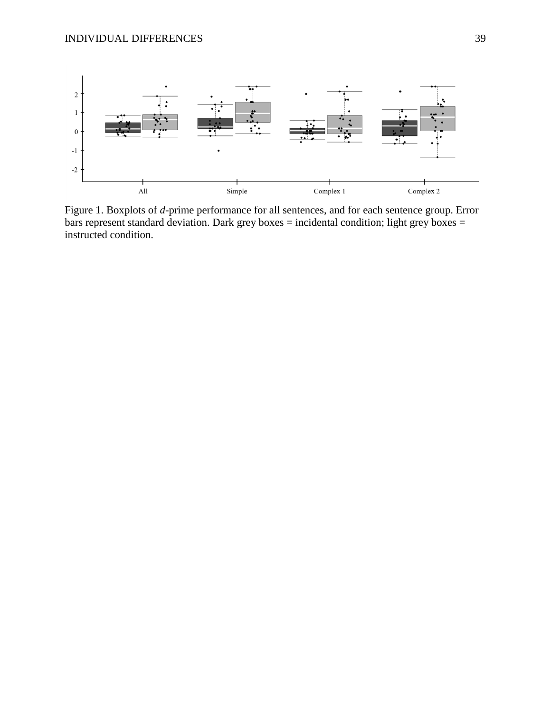

Figure 1. Boxplots of *d*-prime performance for all sentences, and for each sentence group. Error bars represent standard deviation. Dark grey boxes = incidental condition; light grey boxes = instructed condition.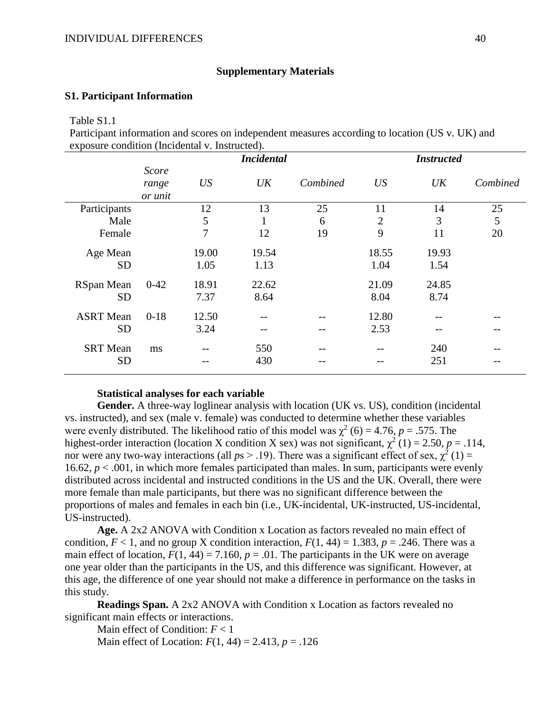## **Supplementary Materials**

### **S1. Participant Information**

Table S1.1

Participant information and scores on independent measures according to location (US v. UK) and exposure condition (Incidental v. Instructed).

|                  |                           |       | <b>Incidental</b> |          |                | <b>Instructed</b> |          |
|------------------|---------------------------|-------|-------------------|----------|----------------|-------------------|----------|
|                  | Score<br>range<br>or unit | US    | UK                | Combined | US             | UK                | Combined |
| Participants     |                           | 12    | 13                | 25       | 11             | 14                | 25       |
| Male             |                           | 5     | $\mathbf{1}$      | 6        | $\overline{2}$ | 3                 | 5        |
| Female           |                           | 7     | 12                | 19       | 9              | 11                | 20       |
| Age Mean         |                           | 19.00 | 19.54             |          | 18.55          | 19.93             |          |
| <b>SD</b>        |                           | 1.05  | 1.13              |          | 1.04           | 1.54              |          |
| RSpan Mean       | $0 - 42$                  | 18.91 | 22.62             |          | 21.09          | 24.85             |          |
| <b>SD</b>        |                           | 7.37  | 8.64              |          | 8.04           | 8.74              |          |
| <b>ASRT</b> Mean | $0 - 18$                  | 12.50 | --                |          | 12.80          |                   |          |
| <b>SD</b>        |                           | 3.24  | --                |          | 2.53           |                   |          |
| <b>SRT</b> Mean  | ms                        |       | 550               |          |                | 240               |          |
| <b>SD</b>        |                           |       | 430               |          |                | 251               |          |

### **Statistical analyses for each variable**

Gender. A three-way loglinear analysis with location (UK vs. US), condition (incidental vs. instructed), and sex (male v. female) was conducted to determine whether these variables were evenly distributed. The likelihood ratio of this model was  $\chi^2$  (6) = 4.76, *p* = .575. The highest-order interaction (location X condition X sex) was not significant,  $\chi^2$  (1) = 2.50, *p* = .114, nor were any two-way interactions (all  $ps > .19$ ). There was a significant effect of sex,  $\chi^2(1) =$ 16.62, *p* < .001, in which more females participated than males. In sum, participants were evenly distributed across incidental and instructed conditions in the US and the UK. Overall, there were more female than male participants, but there was no significant difference between the proportions of males and females in each bin (i.e., UK-incidental, UK-instructed, US-incidental, US-instructed).

**Age.** A 2x2 ANOVA with Condition x Location as factors revealed no main effect of condition,  $F < 1$ , and no group X condition interaction,  $F(1, 44) = 1.383$ ,  $p = .246$ . There was a main effect of location,  $F(1, 44) = 7.160$ ,  $p = .01$ . The participants in the UK were on average one year older than the participants in the US, and this difference was significant. However, at this age, the difference of one year should not make a difference in performance on the tasks in this study.

**Readings Span.** A 2x2 ANOVA with Condition x Location as factors revealed no significant main effects or interactions.

Main effect of Condition: *F* < 1

Main effect of Location: *F*(1, 44) = 2.413, *p* = .126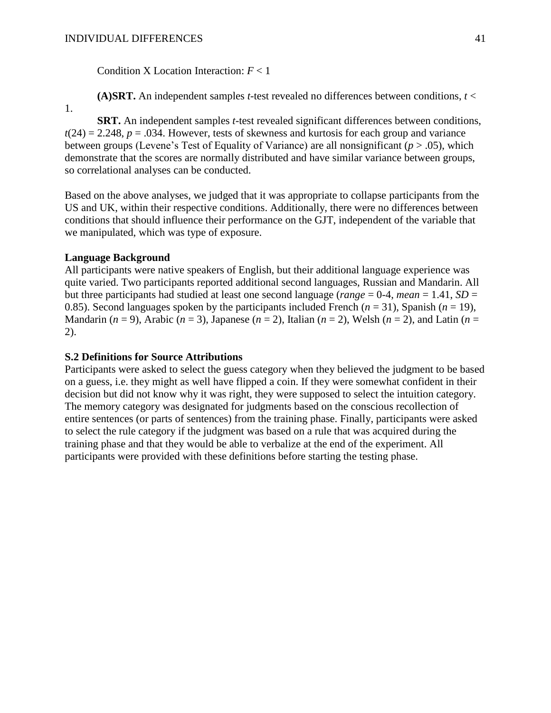Condition X Location Interaction: *F* < 1

**(A)SRT.** An independent samples *t*-test revealed no differences between conditions,  $t <$ 

1.

**SRT.** An independent samples *t*-test revealed significant differences between conditions,  $t(24) = 2.248$ ,  $p = .034$ . However, tests of skewness and kurtosis for each group and variance between groups (Levene's Test of Equality of Variance) are all nonsignificant (*p* > .05), which demonstrate that the scores are normally distributed and have similar variance between groups, so correlational analyses can be conducted.

Based on the above analyses, we judged that it was appropriate to collapse participants from the US and UK, within their respective conditions. Additionally, there were no differences between conditions that should influence their performance on the GJT, independent of the variable that we manipulated, which was type of exposure.

## **Language Background**

All participants were native speakers of English, but their additional language experience was quite varied. Two participants reported additional second languages, Russian and Mandarin. All but three participants had studied at least one second language (*range* = 0-4, *mean* = 1.41, *SD* = 0.85). Second languages spoken by the participants included French (*n* = 31), Spanish (*n* = 19), Mandarin ( $n = 9$ ), Arabic ( $n = 3$ ), Japanese ( $n = 2$ ), Italian ( $n = 2$ ), Welsh ( $n = 2$ ), and Latin ( $n = 1$ ) 2).

## **S.2 Definitions for Source Attributions**

Participants were asked to select the guess category when they believed the judgment to be based on a guess, i.e. they might as well have flipped a coin. If they were somewhat confident in their decision but did not know why it was right, they were supposed to select the intuition category. The memory category was designated for judgments based on the conscious recollection of entire sentences (or parts of sentences) from the training phase. Finally, participants were asked to select the rule category if the judgment was based on a rule that was acquired during the training phase and that they would be able to verbalize at the end of the experiment. All participants were provided with these definitions before starting the testing phase.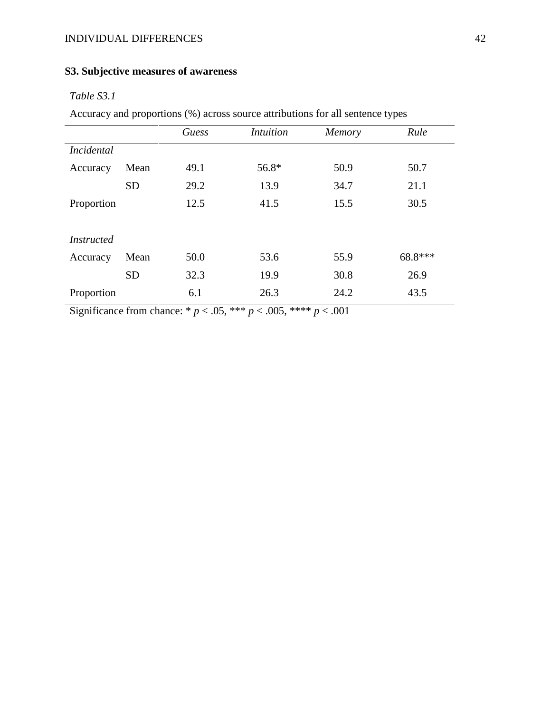## INDIVIDUAL DIFFERENCES 42

# **S3. Subjective measures of awareness**

## *Table S3.1*

Accuracy and proportions (%) across source attributions for all sentence types

|                   |           | Guess | <i>Intuition</i> | Memory | Rule    |
|-------------------|-----------|-------|------------------|--------|---------|
| <i>Incidental</i> |           |       |                  |        |         |
| Accuracy          | Mean      | 49.1  | $56.8*$          | 50.9   | 50.7    |
|                   | <b>SD</b> | 29.2  | 13.9             | 34.7   | 21.1    |
| Proportion        |           | 12.5  | 41.5             | 15.5   | 30.5    |
|                   |           |       |                  |        |         |
| <i>Instructed</i> |           |       |                  |        |         |
| Accuracy          | Mean      | 50.0  | 53.6             | 55.9   | 68.8*** |
|                   | <b>SD</b> | 32.3  | 19.9             | 30.8   | 26.9    |
| Proportion        |           | 6.1   | 26.3             | 24.2   | 43.5    |

Significance from chance: \*  $p < .05$ , \*\*\*  $p < .005$ , \*\*\*\*  $p < .001$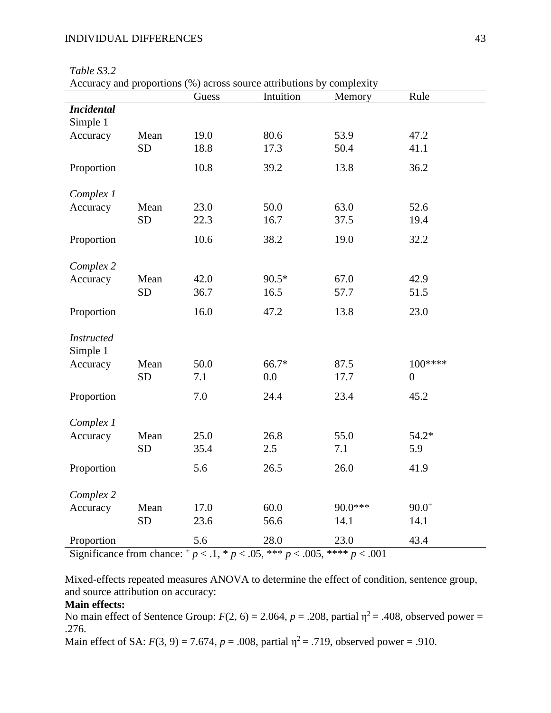#### INDIVIDUAL DIFFERENCES 43

| Accuracy and proportions (%) across source attributions by complexity |           |       |           |         |                |  |  |
|-----------------------------------------------------------------------|-----------|-------|-----------|---------|----------------|--|--|
|                                                                       |           | Guess | Intuition | Memory  | Rule           |  |  |
| <b>Incidental</b>                                                     |           |       |           |         |                |  |  |
| Simple 1                                                              |           |       |           |         |                |  |  |
| Accuracy                                                              | Mean      | 19.0  | 80.6      | 53.9    | 47.2           |  |  |
|                                                                       | <b>SD</b> | 18.8  | 17.3      | 50.4    | 41.1           |  |  |
| Proportion                                                            |           | 10.8  | 39.2      | 13.8    | 36.2           |  |  |
| Complex 1                                                             |           |       |           |         |                |  |  |
| Accuracy                                                              | Mean      | 23.0  | 50.0      | 63.0    | 52.6           |  |  |
|                                                                       | <b>SD</b> | 22.3  | 16.7      | 37.5    | 19.4           |  |  |
|                                                                       |           |       |           |         |                |  |  |
| Proportion                                                            |           | 10.6  | 38.2      | 19.0    | 32.2           |  |  |
| Complex 2                                                             |           |       |           |         |                |  |  |
| Accuracy                                                              | Mean      | 42.0  | $90.5*$   | 67.0    | 42.9           |  |  |
|                                                                       | <b>SD</b> | 36.7  | 16.5      | 57.7    | 51.5           |  |  |
| Proportion                                                            |           | 16.0  | 47.2      | 13.8    | 23.0           |  |  |
| <b>Instructed</b><br>Simple 1                                         |           |       |           |         |                |  |  |
| Accuracy                                                              | Mean      | 50.0  | 66.7*     | 87.5    | $100***$       |  |  |
|                                                                       | <b>SD</b> | 7.1   | 0.0       | 17.7    | $\overline{0}$ |  |  |
|                                                                       |           |       |           |         |                |  |  |
| Proportion                                                            |           | 7.0   | 24.4      | 23.4    | 45.2           |  |  |
| Complex 1                                                             |           |       |           |         |                |  |  |
| Accuracy                                                              | Mean      | 25.0  | 26.8      | 55.0    | $54.2*$        |  |  |
|                                                                       | <b>SD</b> | 35.4  | 2.5       | 7.1     | 5.9            |  |  |
| Proportion                                                            |           | 5.6   | 26.5      | 26.0    | 41.9           |  |  |
| Complex 2                                                             |           |       |           |         |                |  |  |
| Accuracy                                                              | Mean      | 17.0  | 60.0      | 90.0*** | $90.0^{+}$     |  |  |
|                                                                       | <b>SD</b> | 23.6  | 56.6      | 14.1    | 14.1           |  |  |
|                                                                       |           |       |           |         |                |  |  |
| Proportion                                                            |           | 5.6   | 28.0      | 23.0    | 43.4           |  |  |

*Table S3.2*

Significance from chance:  $^+p < 0.1$ ,  $^*p < 0.05$ ,  $^{***}p < 0.005$ ,  $^{***}p < 0.001$ 

Mixed-effects repeated measures ANOVA to determine the effect of condition, sentence group, and source attribution on accuracy:

## **Main effects:**

No main effect of Sentence Group:  $F(2, 6) = 2.064$ ,  $p = .208$ , partial  $\eta^2 = .408$ , observed power = .276.

Main effect of SA:  $F(3, 9) = 7.674$ ,  $p = .008$ , partial  $\eta^2 = .719$ , observed power = .910.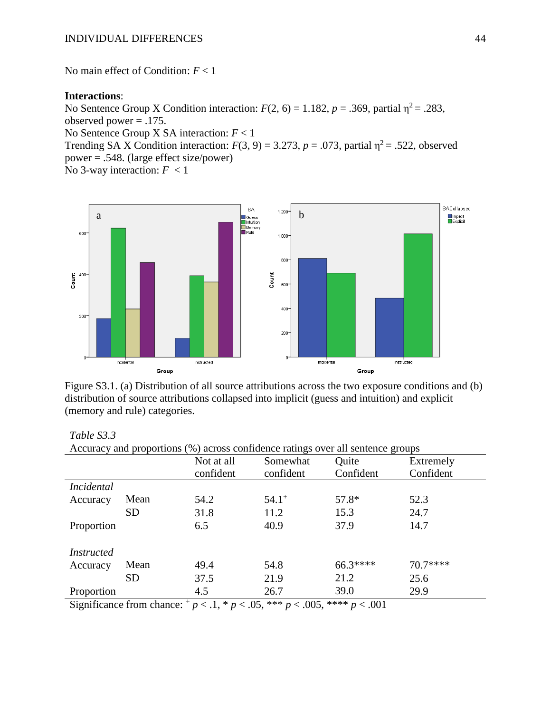No main effect of Condition: *F* < 1

## **Interactions**:

No Sentence Group X Condition interaction:  $F(2, 6) = 1.182$ ,  $p = .369$ , partial  $\eta^2 = .283$ , observed power  $= .175$ . No Sentence Group X SA interaction: *F* < 1 Trending SA X Condition interaction:  $F(3, 9) = 3.273$ ,  $p = .073$ , partial  $\eta^2 = .522$ , observed power = .548. (large effect size/power) No 3-way interaction:  $F < 1$ 



Figure S3.1. (a) Distribution of all source attributions across the two exposure conditions and (b) distribution of source attributions collapsed into implicit (guess and intuition) and explicit (memory and rule) categories.

*Table S3.3*

| Accuracy and proportions (%) across confidence ratings over all sentence groups |  |
|---------------------------------------------------------------------------------|--|
|                                                                                 |  |

|                   |           | Not at all | Somewhat   | Quite     | Extremely |
|-------------------|-----------|------------|------------|-----------|-----------|
|                   |           | confident  | confident  | Confident | Confident |
| <i>Incidental</i> |           |            |            |           |           |
| Accuracy          | Mean      | 54.2       | $54.1^{+}$ | $57.8*$   | 52.3      |
|                   | <b>SD</b> | 31.8       | 11.2       | 15.3      | 24.7      |
| Proportion        |           | 6.5        | 40.9       | 37.9      | 14.7      |
| <i>Instructed</i> |           |            |            |           |           |
| Accuracy          | Mean      | 49.4       | 54.8       | 66.3****  | $70.7***$ |
|                   | <b>SD</b> | 37.5       | 21.9       | 21.2      | 25.6      |
| Proportion        |           | 4.5        | 26.7       | 39.0      | 29.9      |

Significance from chance:  $^+p < 0.1$ ,  $^*p < 0.05$ ,  $^{***}p < 0.005$ ,  $^{***}p < 0.001$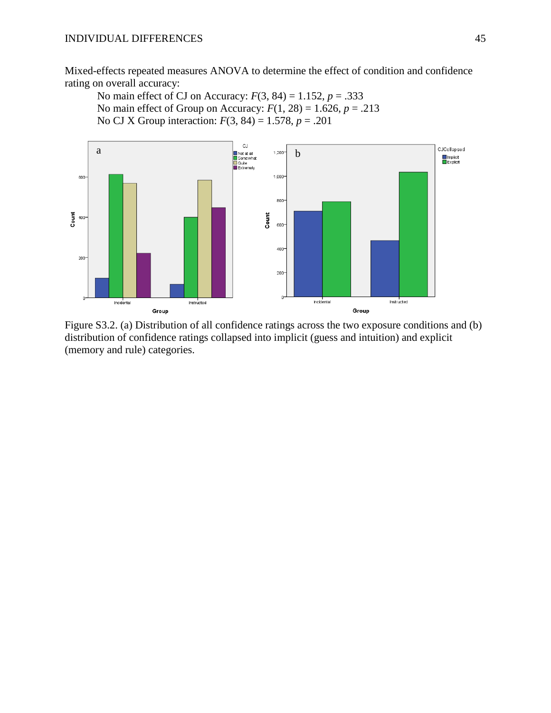Mixed-effects repeated measures ANOVA to determine the effect of condition and confidence rating on overall accuracy:

No main effect of CJ on Accuracy: *F*(3, 84) = 1.152, *p* = .333 No main effect of Group on Accuracy: *F*(1, 28) = 1.626, *p* = .213 No CJ X Group interaction: *F*(3, 84) = 1.578, *p* = .201



Figure S3.2. (a) Distribution of all confidence ratings across the two exposure conditions and (b) distribution of confidence ratings collapsed into implicit (guess and intuition) and explicit (memory and rule) categories.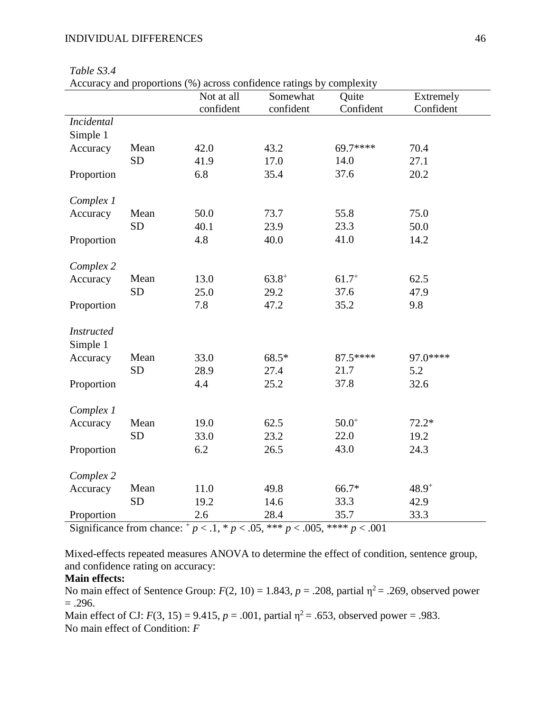#### INDIVIDUAL DIFFERENCES 46

|                   |           | $A$ ccuracy and proportions (70) across commetrice ratings by complexity<br>Not at all | Somewhat   | Quite      | Extremely  |
|-------------------|-----------|----------------------------------------------------------------------------------------|------------|------------|------------|
|                   |           | confident                                                                              | confident  | Confident  | Confident  |
| <b>Incidental</b> |           |                                                                                        |            |            |            |
| Simple 1          |           |                                                                                        |            |            |            |
| Accuracy          | Mean      | 42.0                                                                                   | 43.2       | 69.7****   | 70.4       |
|                   | <b>SD</b> | 41.9                                                                                   | 17.0       | 14.0       | 27.1       |
| Proportion        |           | 6.8                                                                                    | 35.4       | 37.6       | 20.2       |
|                   |           |                                                                                        |            |            |            |
| Complex 1         |           |                                                                                        |            |            |            |
| Accuracy          | Mean      | 50.0                                                                                   | 73.7       | 55.8       | 75.0       |
|                   | <b>SD</b> | 40.1                                                                                   | 23.9       | 23.3       | 50.0       |
| Proportion        |           | 4.8                                                                                    | 40.0       | 41.0       | 14.2       |
|                   |           |                                                                                        |            |            |            |
| Complex 2         |           |                                                                                        |            |            |            |
| Accuracy          | Mean      | 13.0                                                                                   | $63.8^{+}$ | $61.7^{+}$ | 62.5       |
|                   | <b>SD</b> | 25.0                                                                                   | 29.2       | 37.6       | 47.9       |
| Proportion        |           | 7.8                                                                                    | 47.2       | 35.2       | 9.8        |
|                   |           |                                                                                        |            |            |            |
| <b>Instructed</b> |           |                                                                                        |            |            |            |
| Simple 1          |           |                                                                                        |            |            |            |
| Accuracy          | Mean      | 33.0                                                                                   | $68.5*$    | 87.5****   | 97.0****   |
|                   | <b>SD</b> | 28.9                                                                                   | 27.4       | 21.7       | 5.2        |
| Proportion        |           | 4.4                                                                                    | 25.2       | 37.8       | 32.6       |
|                   |           |                                                                                        |            |            |            |
| Complex 1         |           |                                                                                        |            |            |            |
| Accuracy          | Mean      | 19.0                                                                                   | 62.5       | $50.0^{+}$ | $72.2*$    |
|                   | <b>SD</b> | 33.0                                                                                   | 23.2       | 22.0       | 19.2       |
| Proportion        |           | 6.2                                                                                    | 26.5       | 43.0       | 24.3       |
|                   |           |                                                                                        |            |            |            |
| Complex 2         |           |                                                                                        |            |            |            |
| Accuracy          | Mean      | 11.0                                                                                   | 49.8       | 66.7*      | $48.9^{+}$ |
|                   | <b>SD</b> | 19.2                                                                                   | 14.6       | 33.3       | 42.9       |
| Proportion        |           | 2.6                                                                                    | 28.4       | 35.7       | 33.3       |

*Table S3.4*

Accuracy and proportions (%) across confidence ratings by complexity

Significance from chance:  $^+p < 0.1$ ,  $^*p < 0.05$ ,  $^{***}p < 0.005$ ,  $^{***}p < 0.001$ 

Mixed-effects repeated measures ANOVA to determine the effect of condition, sentence group, and confidence rating on accuracy:

## **Main effects:**

No main effect of Sentence Group:  $F(2, 10) = 1.843$ ,  $p = .208$ , partial  $\eta^2 = .269$ , observed power  $=.296.$ 

Main effect of CJ:  $F(3, 15) = 9.415$ ,  $p = .001$ , partial  $\eta^2 = .653$ , observed power = .983. No main effect of Condition: *F*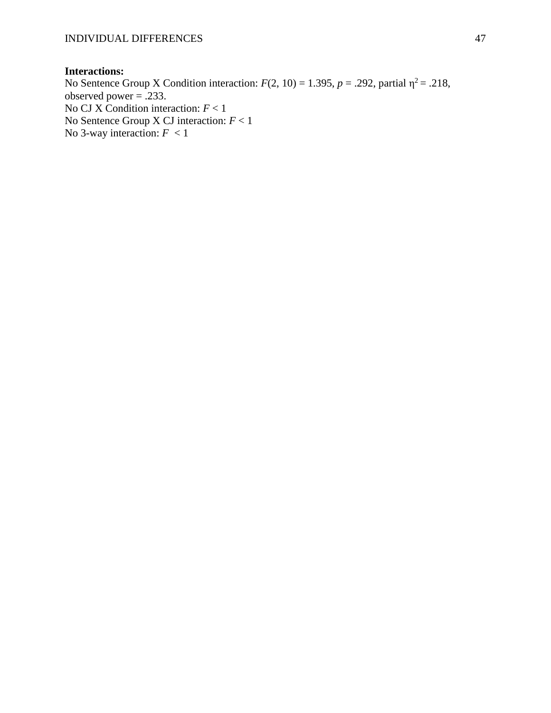## **Interactions:**

No Sentence Group X Condition interaction:  $F(2, 10) = 1.395$ ,  $p = .292$ , partial  $\eta^2 = .218$ , observed power  $= .233$ . No CJ X Condition interaction: *F* < 1 No Sentence Group X CJ interaction: *F* < 1 No 3-way interaction:  $F < 1$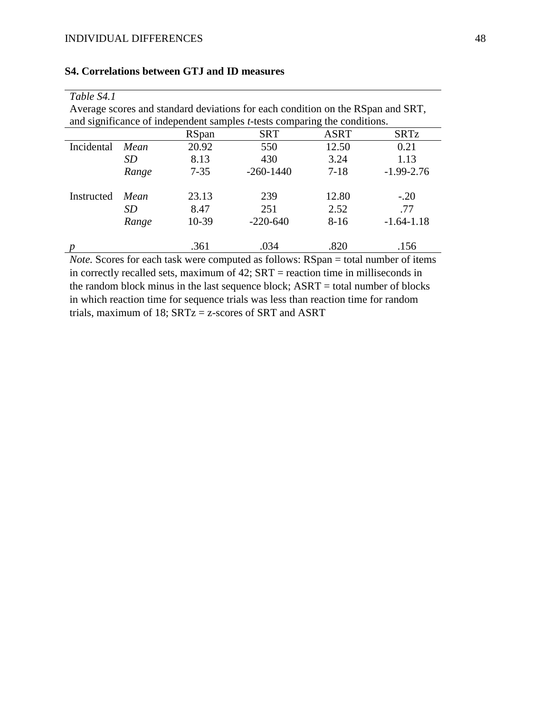*Table S4.1*

| Average scores and standard deviations for each condition on the RSpan and SRT,   |                                                   |          |               |          |                |  |  |  |  |
|-----------------------------------------------------------------------------------|---------------------------------------------------|----------|---------------|----------|----------------|--|--|--|--|
| and significance of independent samples <i>t</i> -tests comparing the conditions. |                                                   |          |               |          |                |  |  |  |  |
|                                                                                   | <b>SRT</b><br><b>ASRT</b><br>RSpan<br><b>SRTz</b> |          |               |          |                |  |  |  |  |
| Incidental                                                                        | Mean                                              | 20.92    | 550           | 12.50    | 0.21           |  |  |  |  |
|                                                                                   | <i>SD</i>                                         | 8.13     | 430           | 3.24     | 1.13           |  |  |  |  |
|                                                                                   | Range                                             | $7 - 35$ | $-260 - 1440$ | $7 - 18$ | $-1.99 - 2.76$ |  |  |  |  |
| Instructed                                                                        | Mean                                              | 23.13    | 239           | 12.80    | $-.20$         |  |  |  |  |
|                                                                                   | <i>SD</i>                                         | 8.47     | 251           | 2.52     | .77            |  |  |  |  |
|                                                                                   | Range                                             | $10-39$  | $-220 - 640$  | $8-16$   | $-1.64 - 1.18$ |  |  |  |  |
|                                                                                   |                                                   | .361     | .034          | .820     | .156           |  |  |  |  |

## **S4. Correlations between GTJ and ID measures**

*Note.* Scores for each task were computed as follows: RSpan = total number of items in correctly recalled sets, maximum of 42; SRT = reaction time in milliseconds in the random block minus in the last sequence block; ASRT = total number of blocks in which reaction time for sequence trials was less than reaction time for random trials, maximum of 18; SRTz = z-scores of SRT and ASRT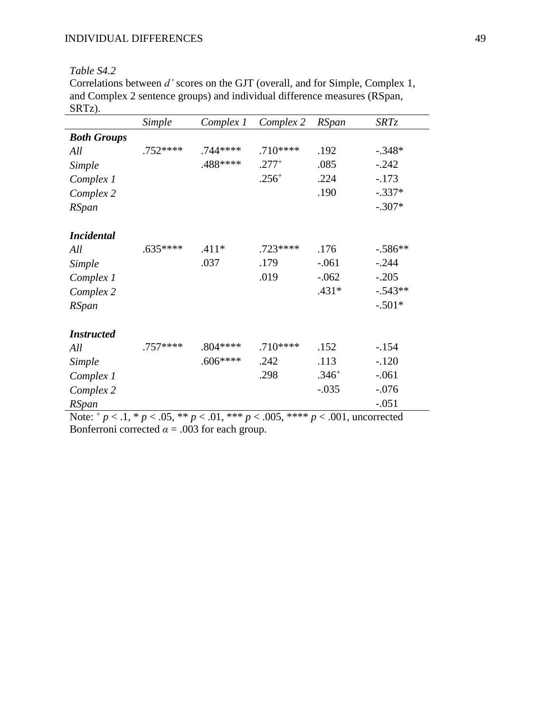*Table S4.2*

Correlations between *d'* scores on the GJT (overall, and for Simple, Complex 1, and Complex 2 sentence groups) and individual difference measures (RSpan, SRTz).

|                                                                                                           | <b>Simple</b> | Complex 1 | Complex 2  | <b>RSpan</b> | <b>SRTz</b> |
|-----------------------------------------------------------------------------------------------------------|---------------|-----------|------------|--------------|-------------|
| <b>Both Groups</b>                                                                                        |               |           |            |              |             |
| All                                                                                                       | .752 ****     | .744****  | $.710***$  | .192         | $-.348*$    |
| <b>Simple</b>                                                                                             |               | .488****  | $.277^{+}$ | .085         | $-.242$     |
| Complex 1                                                                                                 |               |           | $.256^{+}$ | .224         | $-.173$     |
| Complex 2                                                                                                 |               |           |            | .190         | $-.337*$    |
| <b>RSpan</b>                                                                                              |               |           |            |              | $-.307*$    |
| <i>Incidental</i>                                                                                         |               |           |            |              |             |
| All                                                                                                       | .635****      | $.411*$   | .723****   | .176         | $-.586**$   |
| Simple                                                                                                    |               | .037      | .179       | $-.061$      | $-.244$     |
| Complex 1                                                                                                 |               |           | .019       | $-.062$      | $-.205$     |
| Complex 2                                                                                                 |               |           |            | $.431*$      | $-.543**$   |
| <b>RSpan</b>                                                                                              |               |           |            |              | $-.501*$    |
| <b>Instructed</b>                                                                                         |               |           |            |              |             |
| All                                                                                                       | .757****      | $.804***$ | $.710***$  | .152         | $-154$      |
| Simple                                                                                                    |               | $.606***$ | .242       | .113         | $-.120$     |
| Complex 1                                                                                                 |               |           | .298       | $.346^{+}$   | $-.061$     |
| Complex 2                                                                                                 |               |           |            | $-.035$      | $-.076$     |
| <b>RSpan</b>                                                                                              |               |           |            |              | $-.051$     |
| $N_{0}t_{2}$ + n $\geq 1$ * n $\geq 0.5$ ** n $\geq 0.1$ *** n $\geq 0.05$ **** n $\geq 0.01$ uncorrected |               |           |            |              |             |

Note:  $^+p < 0.1$ ,  $^*p < 0.05$ ,  $^{**}p < 0.01$ ,  $^*$ *p* < .1, \* *p* < .05, \*\* *p* < .01, \*\*\* *p* < .005, \*\*\*\* *p* < .001, uncorrected Bonferroni corrected  $\alpha = .003$  for each group.